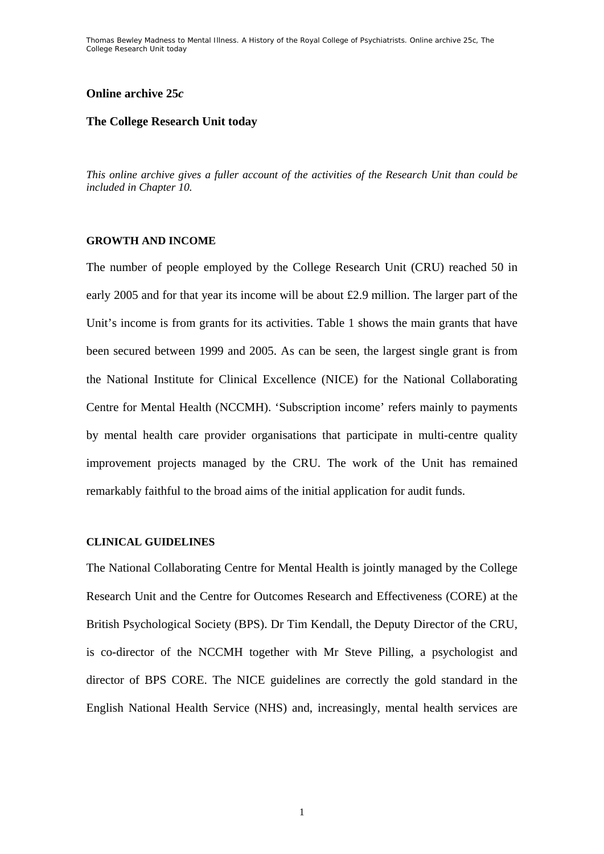# **Online archive 25***c*

# **The College Research Unit today**

*This online archive gives a fuller account of the activities of the Research Unit than could be included in Chapter 10.* 

# **GROWTH AND INCOME**

The number of people employed by the College Research Unit (CRU) reached 50 in early 2005 and for that year its income will be about £2.9 million. The larger part of the Unit's income is from grants for its activities. Table 1 shows the main grants that have been secured between 1999 and 2005. As can be seen, the largest single grant is from the National Institute for Clinical Excellence (NICE) for the National Collaborating Centre for Mental Health (NCCMH). 'Subscription income' refers mainly to payments by mental health care provider organisations that participate in multi-centre quality improvement projects managed by the CRU. The work of the Unit has remained remarkably faithful to the broad aims of the initial application for audit funds.

## **CLINICAL GUIDELINES**

The National Collaborating Centre for Mental Health is jointly managed by the College Research Unit and the Centre for Outcomes Research and Effectiveness (CORE) at the British Psychological Society (BPS). Dr Tim Kendall, the Deputy Director of the CRU, is co-director of the NCCMH together with Mr Steve Pilling, a psychologist and director of BPS CORE. The NICE guidelines are correctly the gold standard in the English National Health Service (NHS) and, increasingly, mental health services are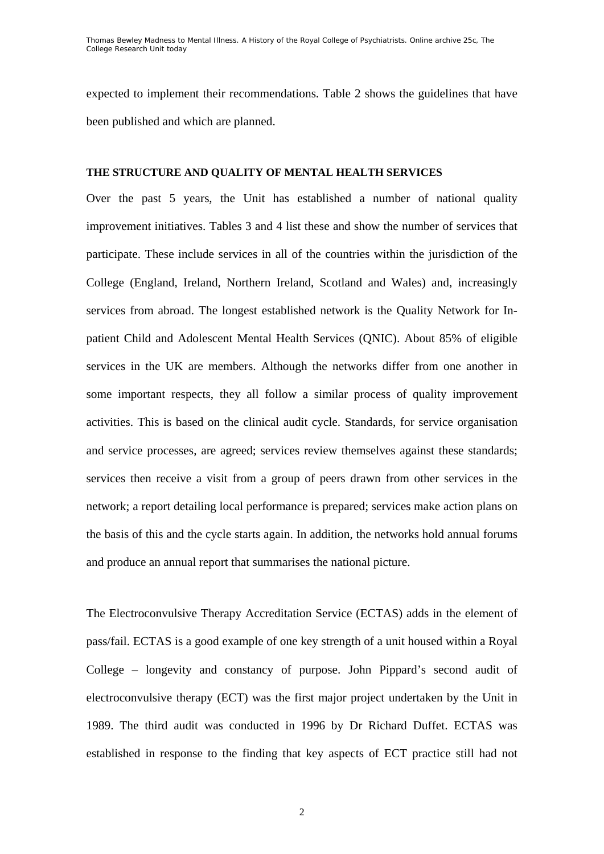expected to implement their recommendations. Table 2 shows the guidelines that have been published and which are planned.

# **THE STRUCTURE AND QUALITY OF MENTAL HEALTH SERVICES**

Over the past 5 years, the Unit has established a number of national quality improvement initiatives. Tables 3 and 4 list these and show the number of services that participate. These include services in all of the countries within the jurisdiction of the College (England, Ireland, Northern Ireland, Scotland and Wales) and, increasingly services from abroad. The longest established network is the Quality Network for Inpatient Child and Adolescent Mental Health Services (QNIC). About 85% of eligible services in the UK are members. Although the networks differ from one another in some important respects, they all follow a similar process of quality improvement activities. This is based on the clinical audit cycle. Standards, for service organisation and service processes, are agreed; services review themselves against these standards; services then receive a visit from a group of peers drawn from other services in the network; a report detailing local performance is prepared; services make action plans on the basis of this and the cycle starts again. In addition, the networks hold annual forums and produce an annual report that summarises the national picture.

The Electroconvulsive Therapy Accreditation Service (ECTAS) adds in the element of pass/fail. ECTAS is a good example of one key strength of a unit housed within a Royal College – longevity and constancy of purpose. John Pippard's second audit of electroconvulsive therapy (ECT) was the first major project undertaken by the Unit in 1989. The third audit was conducted in 1996 by Dr Richard Duffet. ECTAS was established in response to the finding that key aspects of ECT practice still had not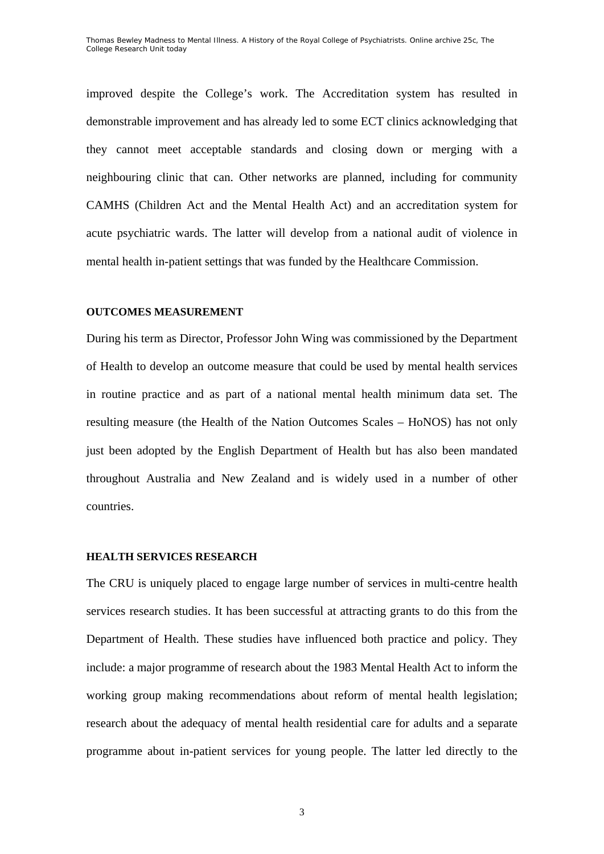improved despite the College's work. The Accreditation system has resulted in demonstrable improvement and has already led to some ECT clinics acknowledging that they cannot meet acceptable standards and closing down or merging with a neighbouring clinic that can. Other networks are planned, including for community CAMHS (Children Act and the Mental Health Act) and an accreditation system for acute psychiatric wards. The latter will develop from a national audit of violence in mental health in-patient settings that was funded by the Healthcare Commission.

# **OUTCOMES MEASUREMENT**

During his term as Director, Professor John Wing was commissioned by the Department of Health to develop an outcome measure that could be used by mental health services in routine practice and as part of a national mental health minimum data set. The resulting measure (the Health of the Nation Outcomes Scales – HoNOS) has not only just been adopted by the English Department of Health but has also been mandated throughout Australia and New Zealand and is widely used in a number of other countries.

## **HEALTH SERVICES RESEARCH**

The CRU is uniquely placed to engage large number of services in multi-centre health services research studies. It has been successful at attracting grants to do this from the Department of Health. These studies have influenced both practice and policy. They include: a major programme of research about the 1983 Mental Health Act to inform the working group making recommendations about reform of mental health legislation; research about the adequacy of mental health residential care for adults and a separate programme about in-patient services for young people. The latter led directly to the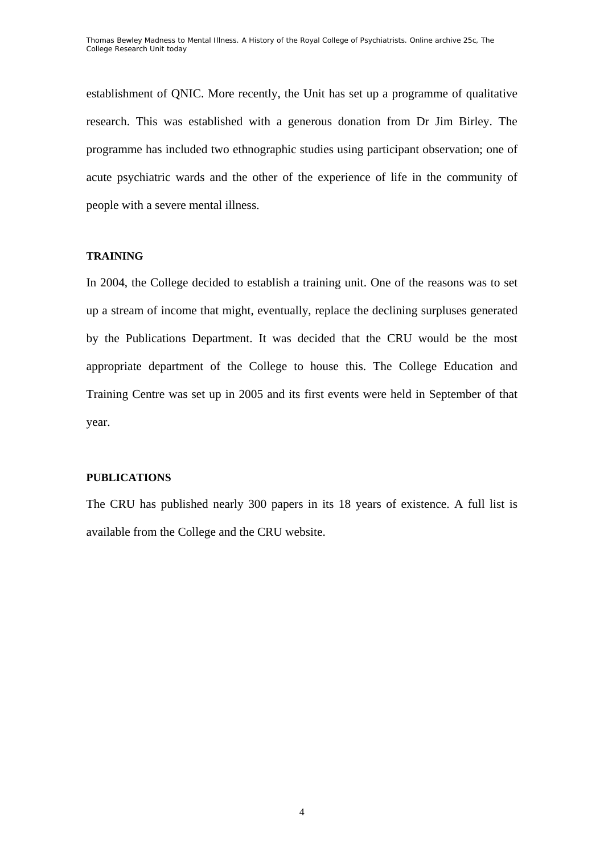establishment of QNIC. More recently, the Unit has set up a programme of qualitative research. This was established with a generous donation from Dr Jim Birley. The programme has included two ethnographic studies using participant observation; one of acute psychiatric wards and the other of the experience of life in the community of people with a severe mental illness.

# **TRAINING**

In 2004, the College decided to establish a training unit. One of the reasons was to set up a stream of income that might, eventually, replace the declining surpluses generated by the Publications Department. It was decided that the CRU would be the most appropriate department of the College to house this. The College Education and Training Centre was set up in 2005 and its first events were held in September of that year.

# **PUBLICATIONS**

The CRU has published nearly 300 papers in its 18 years of existence. A full list is available from the College and the CRU website.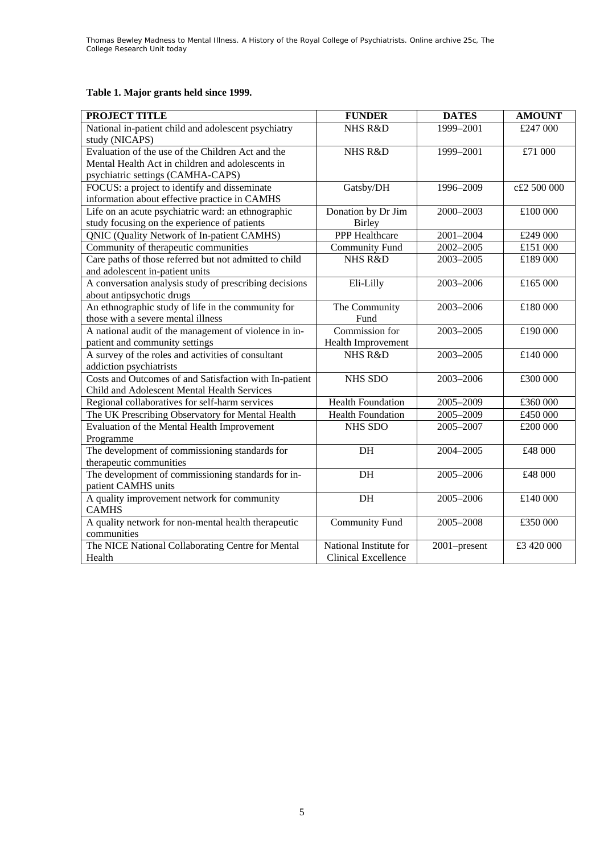# **Table 1. Major grants held since 1999.**

| PROJECT TITLE                                                                                         | <b>FUNDER</b>                                        | <b>DATES</b> | <b>AMOUNT</b> |
|-------------------------------------------------------------------------------------------------------|------------------------------------------------------|--------------|---------------|
| National in-patient child and adolescent psychiatry<br>study (NICAPS)                                 | NHS R&D                                              | 1999-2001    | £247 000      |
| Evaluation of the use of the Children Act and the<br>Mental Health Act in children and adolescents in | NHS R&D                                              | 1999-2001    | £71 000       |
| psychiatric settings (CAMHA-CAPS)                                                                     |                                                      |              |               |
| FOCUS: a project to identify and disseminate<br>information about effective practice in CAMHS         | Gatsby/DH                                            | 1996-2009    | c£2 500 000   |
| Life on an acute psychiatric ward: an ethnographic<br>study focusing on the experience of patients    | Donation by Dr Jim<br>Birley                         | 2000-2003    | £100 000      |
| QNIC (Quality Network of In-patient CAMHS)                                                            | <b>PPP</b> Healthcare                                | 2001-2004    | £249 000      |
| Community of therapeutic communities                                                                  | <b>Community Fund</b>                                | 2002-2005    | £151 000      |
| Care paths of those referred but not admitted to child<br>and adolescent in-patient units             | <b>NHS R&amp;D</b>                                   | 2003-2005    | £189 000      |
| A conversation analysis study of prescribing decisions<br>about antipsychotic drugs                   | Eli-Lilly                                            | 2003-2006    | £165 000      |
| An ethnographic study of life in the community for<br>those with a severe mental illness              | The Community<br>Fund                                | 2003-2006    | £180 000      |
| A national audit of the management of violence in in-<br>patient and community settings               | Commission for<br>Health Improvement                 | 2003-2005    | £190 000      |
| A survey of the roles and activities of consultant<br>addiction psychiatrists                         | <b>NHS R&amp;D</b>                                   | 2003-2005    | £140 000      |
| Costs and Outcomes of and Satisfaction with In-patient<br>Child and Adolescent Mental Health Services | NHS SDO                                              | 2003-2006    | £300 000      |
| Regional collaboratives for self-harm services                                                        | <b>Health Foundation</b>                             | 2005-2009    | £360 000      |
| The UK Prescribing Observatory for Mental Health                                                      | <b>Health Foundation</b>                             | 2005-2009    | £450 000      |
| Evaluation of the Mental Health Improvement<br>Programme                                              | <b>NHS SDO</b>                                       | 2005-2007    | £200 000      |
| The development of commissioning standards for<br>therapeutic communities                             | DH                                                   | 2004-2005    | £48 000       |
| The development of commissioning standards for in-<br>patient CAMHS units                             | DH                                                   | 2005-2006    | £48 000       |
| A quality improvement network for community<br><b>CAMHS</b>                                           | $\rm{DH}$                                            | 2005-2006    | £140 000      |
| A quality network for non-mental health therapeutic<br>communities                                    | <b>Community Fund</b>                                | 2005-2008    | £350 000      |
| The NICE National Collaborating Centre for Mental<br>Health                                           | National Institute for<br><b>Clinical Excellence</b> | 2001-present | £3 420 000    |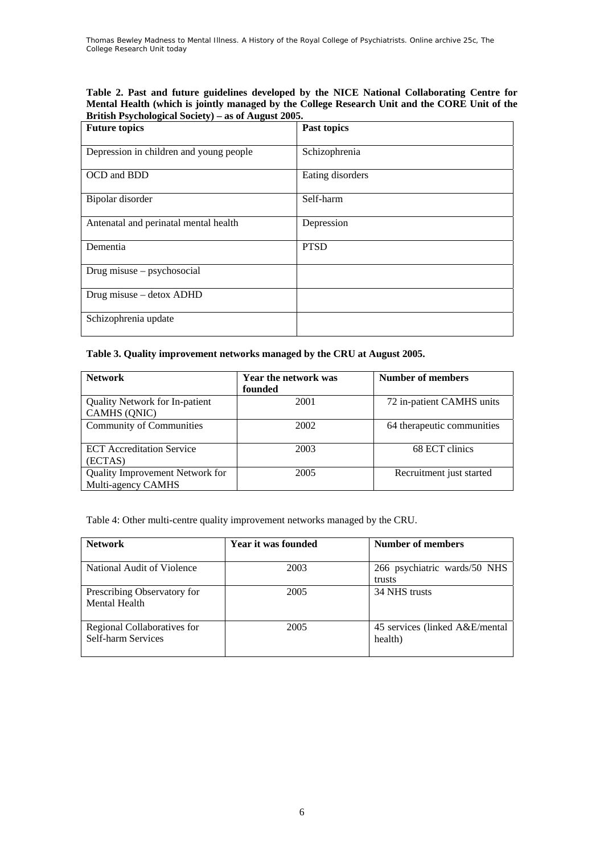**Table 2. Past and future guidelines developed by the NICE National Collaborating Centre for Mental Health (which is jointly managed by the College Research Unit and the CORE Unit of the British Psychological Society) – as of August 2005.** 

| <b>Future topics</b>                    | Past topics      |
|-----------------------------------------|------------------|
| Depression in children and young people | Schizophrenia    |
| OCD and BDD                             | Eating disorders |
| Bipolar disorder                        | Self-harm        |
| Antenatal and perinatal mental health   | Depression       |
| Dementia                                | <b>PTSD</b>      |
| Drug misuse – psychosocial              |                  |
| Drug misuse - detox ADHD                |                  |
| Schizophrenia update                    |                  |

## **Table 3. Quality improvement networks managed by the CRU at August 2005.**

| <b>Network</b>                                        | Year the network was<br>founded | Number of members          |
|-------------------------------------------------------|---------------------------------|----------------------------|
| <b>Quality Network for In-patient</b><br>CAMHS (QNIC) | 2001                            | 72 in-patient CAMHS units  |
| <b>Community of Communities</b>                       | 2002                            | 64 therapeutic communities |
| <b>ECT</b> Accreditation Service<br>(ECTAS)           | 2003                            | 68 ECT clinics             |
| Quality Improvement Network for<br>Multi-agency CAMHS | 2005                            | Recruitment just started   |

Table 4: Other multi-centre quality improvement networks managed by the CRU.

| <b>Network</b>                                    | Year it was founded | Number of members                          |
|---------------------------------------------------|---------------------|--------------------------------------------|
| National Audit of Violence                        | 2003                | 266 psychiatric wards/50 NHS<br>trusts     |
| Prescribing Observatory for<br>Mental Health      | 2005                | 34 NHS trusts                              |
| Regional Collaboratives for<br>Self-harm Services | 2005                | 45 services (linked A&E/mental)<br>health) |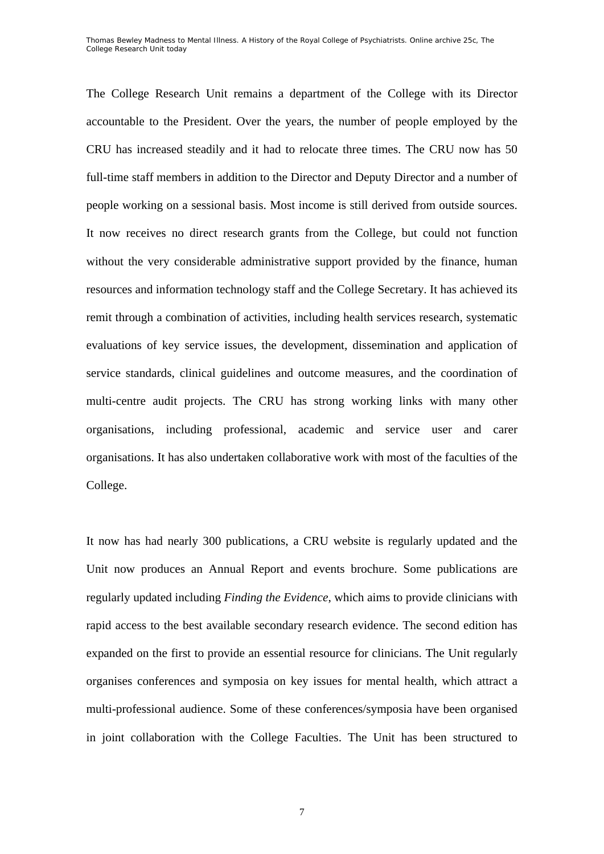The College Research Unit remains a department of the College with its Director accountable to the President. Over the years, the number of people employed by the CRU has increased steadily and it had to relocate three times. The CRU now has 50 full-time staff members in addition to the Director and Deputy Director and a number of people working on a sessional basis. Most income is still derived from outside sources. It now receives no direct research grants from the College, but could not function without the very considerable administrative support provided by the finance, human resources and information technology staff and the College Secretary. It has achieved its remit through a combination of activities, including health services research, systematic evaluations of key service issues, the development, dissemination and application of service standards, clinical guidelines and outcome measures, and the coordination of multi-centre audit projects. The CRU has strong working links with many other organisations, including professional, academic and service user and carer organisations. It has also undertaken collaborative work with most of the faculties of the College.

It now has had nearly 300 publications, a CRU website is regularly updated and the Unit now produces an Annual Report and events brochure. Some publications are regularly updated including *Finding the Evidence*, which aims to provide clinicians with rapid access to the best available secondary research evidence. The second edition has expanded on the first to provide an essential resource for clinicians. The Unit regularly organises conferences and symposia on key issues for mental health, which attract a multi-professional audience. Some of these conferences/symposia have been organised in joint collaboration with the College Faculties. The Unit has been structured to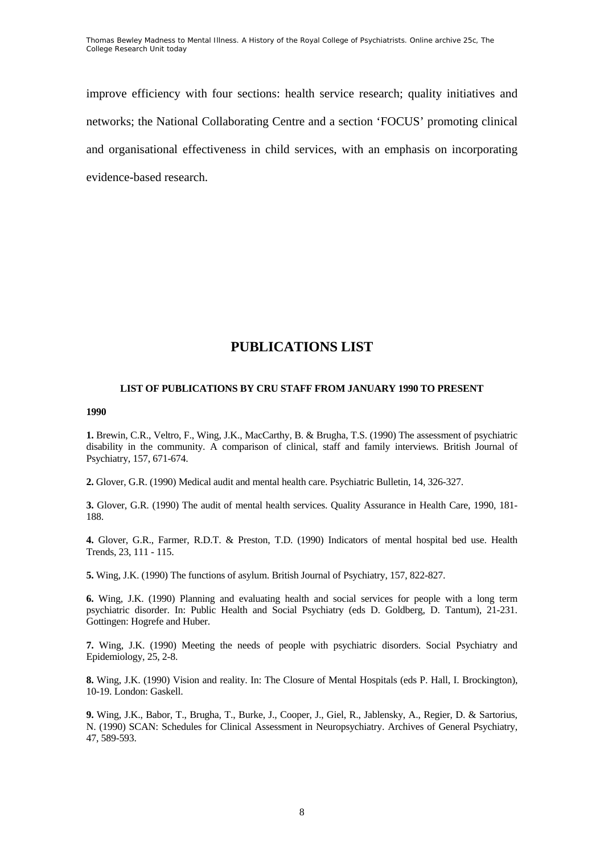improve efficiency with four sections: health service research; quality initiatives and networks; the National Collaborating Centre and a section 'FOCUS' promoting clinical and organisational effectiveness in child services, with an emphasis on incorporating evidence-based research.

# **PUBLICATIONS LIST**

### **LIST OF PUBLICATIONS BY CRU STAFF FROM JANUARY 1990 TO PRESENT**

#### **1990**

**1.** Brewin, C.R., Veltro, F., Wing, J.K., MacCarthy, B. & Brugha, T.S. (1990) The assessment of psychiatric disability in the community. A comparison of clinical, staff and family interviews. British Journal of Psychiatry, 157, 671-674.

**2.** Glover, G.R. (1990) Medical audit and mental health care. Psychiatric Bulletin, 14, 326-327.

**3.** Glover, G.R. (1990) The audit of mental health services. Quality Assurance in Health Care, 1990, 181- 188.

**4.** Glover, G.R., Farmer, R.D.T. & Preston, T.D. (1990) Indicators of mental hospital bed use. Health Trends, 23, 111 - 115.

**5.** Wing, J.K. (1990) The functions of asylum. British Journal of Psychiatry, 157, 822-827.

**6.** Wing, J.K. (1990) Planning and evaluating health and social services for people with a long term psychiatric disorder. In: Public Health and Social Psychiatry (eds D. Goldberg, D. Tantum), 21-231. Gottingen: Hogrefe and Huber.

**7.** Wing, J.K. (1990) Meeting the needs of people with psychiatric disorders. Social Psychiatry and Epidemiology, 25, 2-8.

**8.** Wing, J.K. (1990) Vision and reality. In: The Closure of Mental Hospitals (eds P. Hall, I. Brockington), 10-19. London: Gaskell.

**9.** Wing, J.K., Babor, T., Brugha, T., Burke, J., Cooper, J., Giel, R., Jablensky, A., Regier, D. & Sartorius, N. (1990) SCAN: Schedules for Clinical Assessment in Neuropsychiatry. Archives of General Psychiatry, 47, 589-593.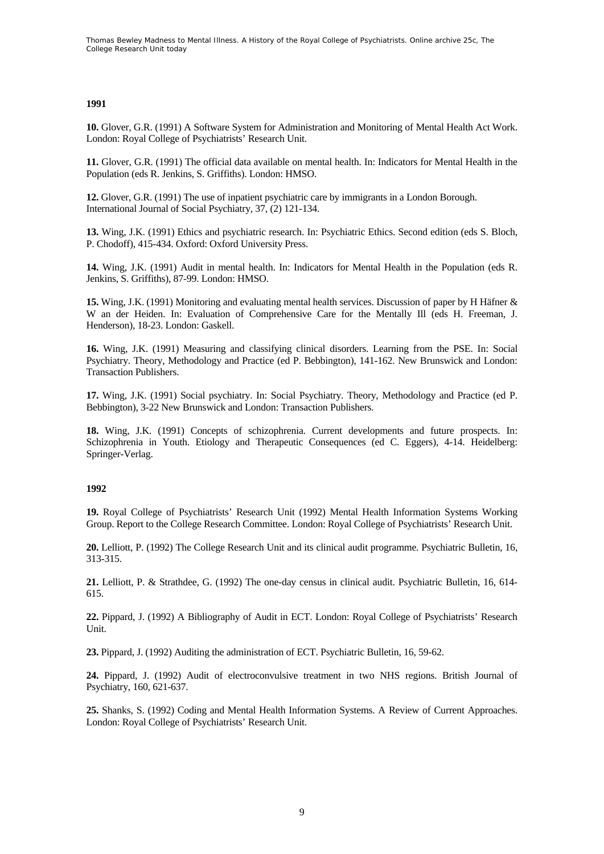## **1991**

**10.** Glover, G.R. (1991) A Software System for Administration and Monitoring of Mental Health Act Work. London: Royal College of Psychiatrists' Research Unit.

**11.** Glover, G.R. (1991) The official data available on mental health. In: Indicators for Mental Health in the Population (eds R. Jenkins, S. Griffiths). London: HMSO.

**12.** Glover, G.R. (1991) The use of inpatient psychiatric care by immigrants in a London Borough. International Journal of Social Psychiatry, 37, (2) 121-134.

**13.** Wing, J.K. (1991) Ethics and psychiatric research. In: Psychiatric Ethics. Second edition (eds S. Bloch, P. Chodoff), 415-434. Oxford: Oxford University Press.

**14.** Wing, J.K. (1991) Audit in mental health. In: Indicators for Mental Health in the Population (eds R. Jenkins, S. Griffiths), 87-99. London: HMSO.

**15.** Wing, J.K. (1991) Monitoring and evaluating mental health services. Discussion of paper by H Häfner & W an der Heiden. In: Evaluation of Comprehensive Care for the Mentally Ill (eds H. Freeman, J. Henderson), 18-23. London: Gaskell.

**16.** Wing, J.K. (1991) Measuring and classifying clinical disorders. Learning from the PSE. In: Social Psychiatry. Theory, Methodology and Practice (ed P. Bebbington), 141-162. New Brunswick and London: Transaction Publishers.

**17.** Wing, J.K. (1991) Social psychiatry. In: Social Psychiatry. Theory, Methodology and Practice (ed P. Bebbington), 3-22 New Brunswick and London: Transaction Publishers.

**18.** Wing, J.K. (1991) Concepts of schizophrenia. Current developments and future prospects. In: Schizophrenia in Youth. Etiology and Therapeutic Consequences (ed C. Eggers), 4-14. Heidelberg: Springer-Verlag.

#### **1992**

**19.** Royal College of Psychiatrists' Research Unit (1992) Mental Health Information Systems Working Group. Report to the College Research Committee. London: Royal College of Psychiatrists' Research Unit.

**20.** Lelliott, P. (1992) The College Research Unit and its clinical audit programme. Psychiatric Bulletin, 16, 313-315.

**21.** Lelliott, P. & Strathdee, G. (1992) The one-day census in clinical audit. Psychiatric Bulletin, 16, 614- 615.

**22.** Pippard, J. (1992) A Bibliography of Audit in ECT. London: Royal College of Psychiatrists' Research Unit.

**23.** Pippard, J. (1992) Auditing the administration of ECT. Psychiatric Bulletin, 16, 59-62.

**24.** Pippard, J. (1992) Audit of electroconvulsive treatment in two NHS regions. British Journal of Psychiatry, 160, 621-637.

**25.** Shanks, S. (1992) Coding and Mental Health Information Systems. A Review of Current Approaches. London: Royal College of Psychiatrists' Research Unit.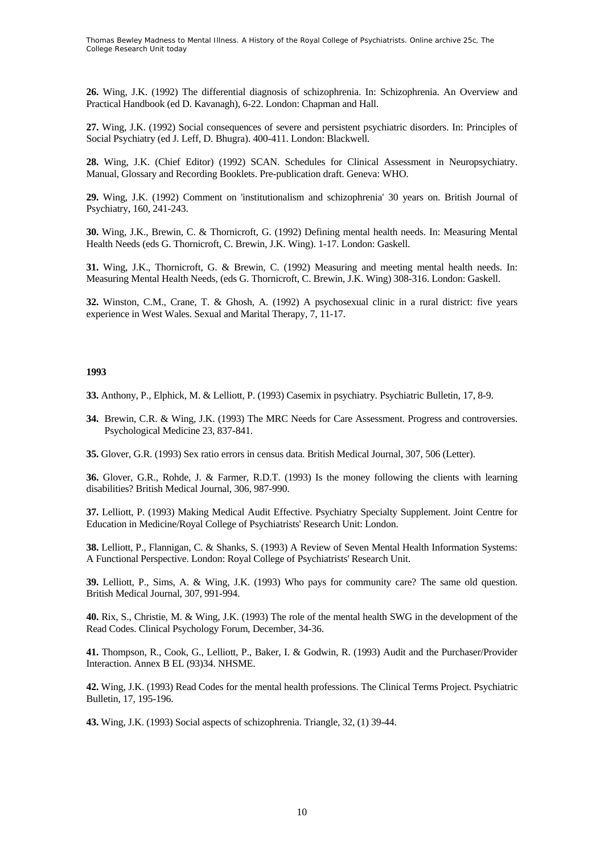**26.** Wing, J.K. (1992) The differential diagnosis of schizophrenia. In: Schizophrenia. An Overview and Practical Handbook (ed D. Kavanagh), 6-22. London: Chapman and Hall.

**27.** Wing, J.K. (1992) Social consequences of severe and persistent psychiatric disorders. In: Principles of Social Psychiatry (ed J. Leff, D. Bhugra). 400-411. London: Blackwell.

**28.** Wing, J.K. (Chief Editor) (1992) SCAN. Schedules for Clinical Assessment in Neuropsychiatry. Manual, Glossary and Recording Booklets. Pre-publication draft. Geneva: WHO.

**29.** Wing, J.K. (1992) Comment on 'institutionalism and schizophrenia' 30 years on. British Journal of Psychiatry, 160, 241-243.

**30.** Wing, J.K., Brewin, C. & Thornicroft, G. (1992) Defining mental health needs. In: Measuring Mental Health Needs (eds G. Thornicroft, C. Brewin, J.K. Wing). 1-17. London: Gaskell.

**31.** Wing, J.K., Thornicroft, G. & Brewin, C. (1992) Measuring and meeting mental health needs. In: Measuring Mental Health Needs, (eds G. Thornicroft, C. Brewin, J.K. Wing) 308-316. London: Gaskell.

**32.** Winston, C.M., Crane, T. & Ghosh, A. (1992) A psychosexual clinic in a rural district: five years experience in West Wales. Sexual and Marital Therapy, 7, 11-17.

#### **1993**

**33.** Anthony, P., Elphick, M. & Lelliott, P. (1993) Casemix in psychiatry. Psychiatric Bulletin, 17, 8-9.

**34.** Brewin, C.R. & Wing, J.K. (1993) The MRC Needs for Care Assessment. Progress and controversies. Psychological Medicine 23, 837-841.

**35.** Glover, G.R. (1993) Sex ratio errors in census data. British Medical Journal, 307, 506 (Letter).

**36.** Glover, G.R., Rohde, J. & Farmer, R.D.T. (1993) Is the money following the clients with learning disabilities? British Medical Journal, 306, 987-990.

**37.** Lelliott, P. (1993) Making Medical Audit Effective. Psychiatry Specialty Supplement. Joint Centre for Education in Medicine/Royal College of Psychiatrists' Research Unit: London.

**38.** Lelliott, P., Flannigan, C. & Shanks, S. (1993) A Review of Seven Mental Health Information Systems: A Functional Perspective. London: Royal College of Psychiatrists' Research Unit.

**39.** Lelliott, P., Sims, A. & Wing, J.K. (1993) Who pays for community care? The same old question. British Medical Journal, 307, 991-994.

**40.** Rix, S., Christie, M. & Wing, J.K. (1993) The role of the mental health SWG in the development of the Read Codes. Clinical Psychology Forum, December, 34-36.

**41.** Thompson, R., Cook, G., Lelliott, P., Baker, I. & Godwin, R. (1993) Audit and the Purchaser/Provider Interaction. Annex B EL (93)34. NHSME.

**42.** Wing, J.K. (1993) Read Codes for the mental health professions. The Clinical Terms Project. Psychiatric Bulletin, 17, 195-196.

**43.** Wing, J.K. (1993) Social aspects of schizophrenia. Triangle, 32, (1) 39-44.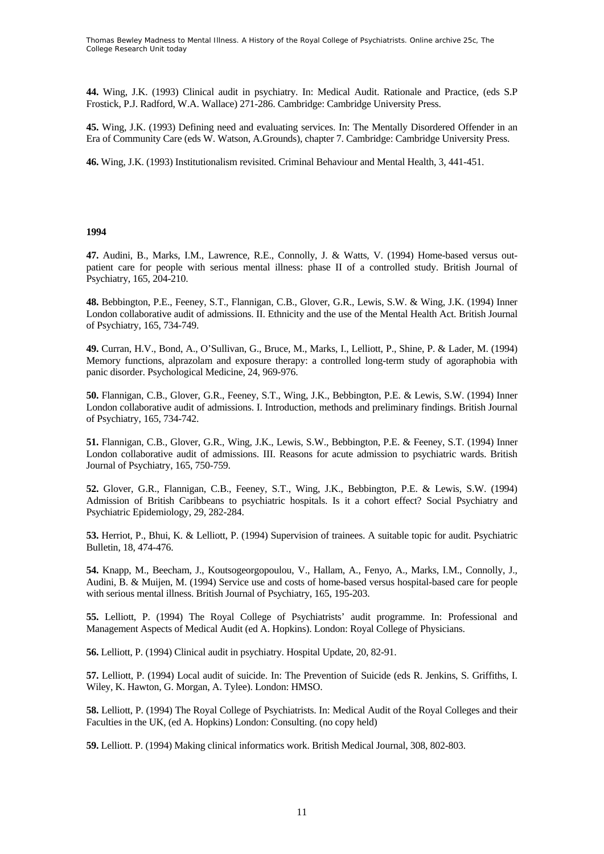**44.** Wing, J.K. (1993) Clinical audit in psychiatry. In: Medical Audit. Rationale and Practice, (eds S.P Frostick, P.J. Radford, W.A. Wallace) 271-286. Cambridge: Cambridge University Press.

**45.** Wing, J.K. (1993) Defining need and evaluating services. In: The Mentally Disordered Offender in an Era of Community Care (eds W. Watson, A.Grounds), chapter 7. Cambridge: Cambridge University Press.

**46.** Wing, J.K. (1993) Institutionalism revisited. Criminal Behaviour and Mental Health, 3, 441-451.

#### **1994**

**47.** Audini, B., Marks, I.M., Lawrence, R.E., Connolly, J. & Watts, V. (1994) Home-based versus outpatient care for people with serious mental illness: phase II of a controlled study. British Journal of Psychiatry, 165, 204-210.

**48.** Bebbington, P.E., Feeney, S.T., Flannigan, C.B., Glover, G.R., Lewis, S.W. & Wing, J.K. (1994) Inner London collaborative audit of admissions. II. Ethnicity and the use of the Mental Health Act. British Journal of Psychiatry, 165, 734-749.

**49.** Curran, H.V., Bond, A., O'Sullivan, G., Bruce, M., Marks, I., Lelliott, P., Shine, P. & Lader, M. (1994) Memory functions, alprazolam and exposure therapy: a controlled long-term study of agoraphobia with panic disorder. Psychological Medicine, 24, 969-976.

**50.** Flannigan, C.B., Glover, G.R., Feeney, S.T., Wing, J.K., Bebbington, P.E. & Lewis, S.W. (1994) Inner London collaborative audit of admissions. I. Introduction, methods and preliminary findings. British Journal of Psychiatry, 165, 734-742.

**51.** Flannigan, C.B., Glover, G.R., Wing, J.K., Lewis, S.W., Bebbington, P.E. & Feeney, S.T. (1994) Inner London collaborative audit of admissions. III. Reasons for acute admission to psychiatric wards. British Journal of Psychiatry, 165, 750-759.

**52.** Glover, G.R., Flannigan, C.B., Feeney, S.T., Wing, J.K., Bebbington, P.E. & Lewis, S.W. (1994) Admission of British Caribbeans to psychiatric hospitals. Is it a cohort effect? Social Psychiatry and Psychiatric Epidemiology, 29, 282-284.

**53.** Herriot, P., Bhui, K. & Lelliott, P. (1994) Supervision of trainees. A suitable topic for audit. Psychiatric Bulletin, 18, 474-476.

**54.** Knapp, M., Beecham, J., Koutsogeorgopoulou, V., Hallam, A., Fenyo, A., Marks, I.M., Connolly, J., Audini, B. & Muijen, M. (1994) Service use and costs of home-based versus hospital-based care for people with serious mental illness. British Journal of Psychiatry, 165, 195-203.

**55.** Lelliott, P. (1994) The Royal College of Psychiatrists' audit programme. In: Professional and Management Aspects of Medical Audit (ed A. Hopkins). London: Royal College of Physicians.

**56.** Lelliott, P. (1994) Clinical audit in psychiatry. Hospital Update, 20, 82-91.

**57.** Lelliott, P. (1994) Local audit of suicide. In: The Prevention of Suicide (eds R. Jenkins, S. Griffiths, I. Wiley, K. Hawton, G. Morgan, A. Tylee). London: HMSO.

**58.** Lelliott, P. (1994) The Royal College of Psychiatrists. In: Medical Audit of the Royal Colleges and their Faculties in the UK, (ed A. Hopkins) London: Consulting. (no copy held)

**59.** Lelliott. P. (1994) Making clinical informatics work. British Medical Journal, 308, 802-803.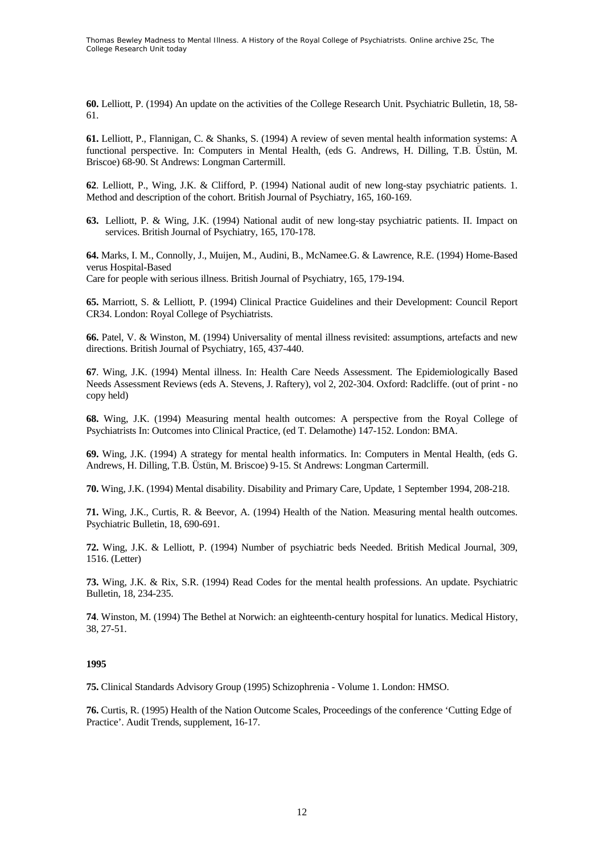**60.** Lelliott, P. (1994) An update on the activities of the College Research Unit. Psychiatric Bulletin, 18, 58- 61.

**61.** Lelliott, P., Flannigan, C. & Shanks, S. (1994) A review of seven mental health information systems: A functional perspective. In: Computers in Mental Health, (eds G. Andrews, H. Dilling, T.B. Üstün, M. Briscoe) 68-90. St Andrews: Longman Cartermill.

**62**. Lelliott, P., Wing, J.K. & Clifford, P. (1994) National audit of new long-stay psychiatric patients. 1. Method and description of the cohort. British Journal of Psychiatry, 165, 160-169.

**63.** Lelliott, P. & Wing, J.K. (1994) National audit of new long-stay psychiatric patients. II. Impact on services. British Journal of Psychiatry, 165, 170-178.

**64.** Marks, I. M., Connolly, J., Muijen, M., Audini, B., McNamee.G. & Lawrence, R.E. (1994) Home-Based verus Hospital-Based

Care for people with serious illness. British Journal of Psychiatry, 165, 179-194.

**65.** Marriott, S. & Lelliott, P. (1994) Clinical Practice Guidelines and their Development: Council Report CR34. London: Royal College of Psychiatrists.

**66.** Patel, V. & Winston, M. (1994) Universality of mental illness revisited: assumptions, artefacts and new directions. British Journal of Psychiatry, 165, 437-440.

**67**. Wing, J.K. (1994) Mental illness. In: Health Care Needs Assessment. The Epidemiologically Based Needs Assessment Reviews (eds A. Stevens, J. Raftery), vol 2, 202-304. Oxford: Radcliffe. (out of print - no copy held)

**68.** Wing, J.K. (1994) Measuring mental health outcomes: A perspective from the Royal College of Psychiatrists In: Outcomes into Clinical Practice, (ed T. Delamothe) 147-152. London: BMA.

**69.** Wing, J.K. (1994) A strategy for mental health informatics. In: Computers in Mental Health, (eds G. Andrews, H. Dilling, T.B. Üstün, M. Briscoe) 9-15. St Andrews: Longman Cartermill.

**70.** Wing, J.K. (1994) Mental disability. Disability and Primary Care, Update, 1 September 1994, 208-218.

**71.** Wing, J.K., Curtis, R. & Beevor, A. (1994) Health of the Nation. Measuring mental health outcomes. Psychiatric Bulletin, 18, 690-691.

**72.** Wing, J.K. & Lelliott, P. (1994) Number of psychiatric beds Needed. British Medical Journal, 309, 1516. (Letter)

**73.** Wing, J.K. & Rix, S.R. (1994) Read Codes for the mental health professions. An update. Psychiatric Bulletin, 18, 234-235.

**74**. Winston, M. (1994) The Bethel at Norwich: an eighteenth-century hospital for lunatics. Medical History, 38, 27-51.

#### **1995**

**75.** Clinical Standards Advisory Group (1995) Schizophrenia - Volume 1. London: HMSO.

**76.** Curtis, R. (1995) Health of the Nation Outcome Scales, Proceedings of the conference 'Cutting Edge of Practice'. Audit Trends, supplement, 16-17.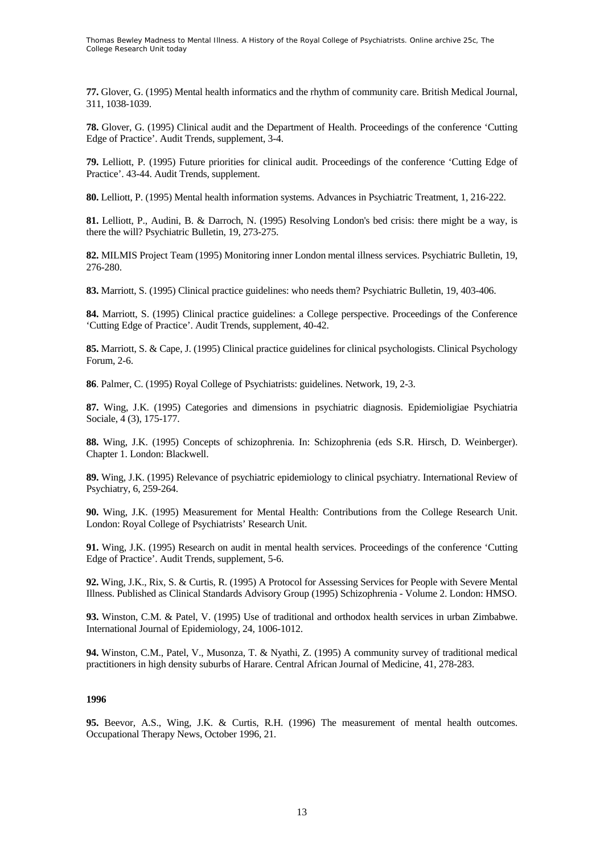**77.** Glover, G. (1995) Mental health informatics and the rhythm of community care. British Medical Journal, 311, 1038-1039.

**78.** Glover, G. (1995) Clinical audit and the Department of Health. Proceedings of the conference 'Cutting Edge of Practice'. Audit Trends, supplement, 3-4.

**79.** Lelliott, P. (1995) Future priorities for clinical audit. Proceedings of the conference 'Cutting Edge of Practice'. 43-44. Audit Trends, supplement.

**80.** Lelliott, P. (1995) Mental health information systems. Advances in Psychiatric Treatment, 1, 216-222.

**81.** Lelliott, P., Audini, B. & Darroch, N. (1995) Resolving London's bed crisis: there might be a way, is there the will? Psychiatric Bulletin, 19, 273-275.

**82.** MILMIS Project Team (1995) Monitoring inner London mental illness services. Psychiatric Bulletin, 19, 276-280.

**83.** Marriott, S. (1995) Clinical practice guidelines: who needs them? Psychiatric Bulletin, 19, 403-406.

**84.** Marriott, S. (1995) Clinical practice guidelines: a College perspective. Proceedings of the Conference 'Cutting Edge of Practice'. Audit Trends, supplement, 40-42.

**85.** Marriott, S. & Cape, J. (1995) Clinical practice guidelines for clinical psychologists. Clinical Psychology Forum, 2-6.

**86**. Palmer, C. (1995) Royal College of Psychiatrists: guidelines. Network, 19, 2-3.

**87.** Wing, J.K. (1995) Categories and dimensions in psychiatric diagnosis. Epidemioligiae Psychiatria Sociale, 4 (3), 175-177.

**88.** Wing, J.K. (1995) Concepts of schizophrenia. In: Schizophrenia (eds S.R. Hirsch, D. Weinberger). Chapter 1. London: Blackwell.

**89.** Wing, J.K. (1995) Relevance of psychiatric epidemiology to clinical psychiatry. International Review of Psychiatry, 6, 259-264.

**90.** Wing, J.K. (1995) Measurement for Mental Health: Contributions from the College Research Unit. London: Royal College of Psychiatrists' Research Unit.

**91.** Wing, J.K. (1995) Research on audit in mental health services. Proceedings of the conference 'Cutting Edge of Practice'. Audit Trends, supplement, 5-6.

**92.** Wing, J.K., Rix, S. & Curtis, R. (1995) A Protocol for Assessing Services for People with Severe Mental Illness. Published as Clinical Standards Advisory Group (1995) Schizophrenia - Volume 2. London: HMSO.

**93.** Winston, C.M. & Patel, V. (1995) Use of traditional and orthodox health services in urban Zimbabwe. International Journal of Epidemiology, 24, 1006-1012.

**94.** Winston, C.M., Patel, V., Musonza, T. & Nyathi, Z. (1995) A community survey of traditional medical practitioners in high density suburbs of Harare. Central African Journal of Medicine, 41, 278-283.

#### **1996**

**95.** Beevor, A.S., Wing, J.K. & Curtis, R.H. (1996) The measurement of mental health outcomes. Occupational Therapy News, October 1996, 21.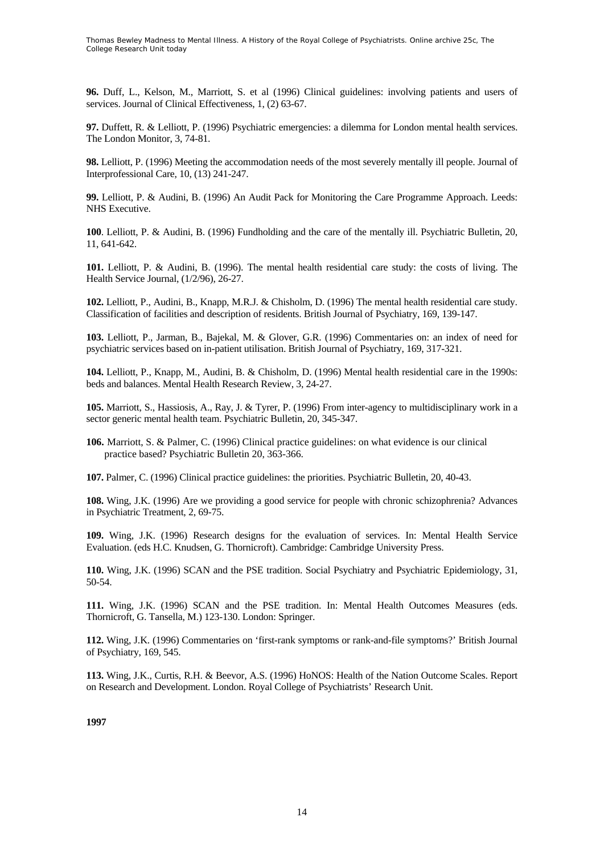**96.** Duff, L., Kelson, M., Marriott, S. et al (1996) Clinical guidelines: involving patients and users of services. Journal of Clinical Effectiveness, 1, (2) 63-67.

**97.** Duffett, R. & Lelliott, P. (1996) Psychiatric emergencies: a dilemma for London mental health services. The London Monitor, 3, 74-81.

**98.** Lelliott, P. (1996) Meeting the accommodation needs of the most severely mentally ill people. Journal of Interprofessional Care, 10, (13) 241-247.

**99.** Lelliott, P. & Audini, B. (1996) An Audit Pack for Monitoring the Care Programme Approach. Leeds: NHS Executive.

**100**. Lelliott, P. & Audini, B. (1996) Fundholding and the care of the mentally ill. Psychiatric Bulletin, 20, 11, 641-642.

**101.** Lelliott, P. & Audini, B. (1996). The mental health residential care study: the costs of living. The Health Service Journal, (1/2/96), 26-27.

**102.** Lelliott, P., Audini, B., Knapp, M.R.J. & Chisholm, D. (1996) The mental health residential care study. Classification of facilities and description of residents. British Journal of Psychiatry, 169, 139-147.

**103.** Lelliott, P., Jarman, B., Bajekal, M. & Glover, G.R. (1996) Commentaries on: an index of need for psychiatric services based on in-patient utilisation. British Journal of Psychiatry, 169, 317-321.

**104.** Lelliott, P., Knapp, M., Audini, B. & Chisholm, D. (1996) Mental health residential care in the 1990s: beds and balances. Mental Health Research Review, 3, 24-27.

**105.** Marriott, S., Hassiosis, A., Ray, J. & Tyrer, P. (1996) From inter-agency to multidisciplinary work in a sector generic mental health team. Psychiatric Bulletin, 20, 345-347.

**106.** Marriott, S. & Palmer, C. (1996) Clinical practice guidelines: on what evidence is our clinical practice based? Psychiatric Bulletin 20, 363-366.

**107.** Palmer, C. (1996) Clinical practice guidelines: the priorities. Psychiatric Bulletin, 20, 40-43.

**108.** Wing, J.K. (1996) Are we providing a good service for people with chronic schizophrenia? Advances in Psychiatric Treatment, 2, 69-75.

**109.** Wing, J.K. (1996) Research designs for the evaluation of services. In: Mental Health Service Evaluation. (eds H.C. Knudsen, G. Thornicroft). Cambridge: Cambridge University Press.

**110.** Wing, J.K. (1996) SCAN and the PSE tradition. Social Psychiatry and Psychiatric Epidemiology, 31, 50-54.

**111.** Wing, J.K. (1996) SCAN and the PSE tradition. In: Mental Health Outcomes Measures (eds. Thornicroft, G. Tansella, M.) 123-130. London: Springer.

**112.** Wing, J.K. (1996) Commentaries on 'first-rank symptoms or rank-and-file symptoms?' British Journal of Psychiatry, 169, 545.

**113.** Wing, J.K., Curtis, R.H. & Beevor, A.S. (1996) HoNOS: Health of the Nation Outcome Scales. Report on Research and Development. London. Royal College of Psychiatrists' Research Unit.

**1997**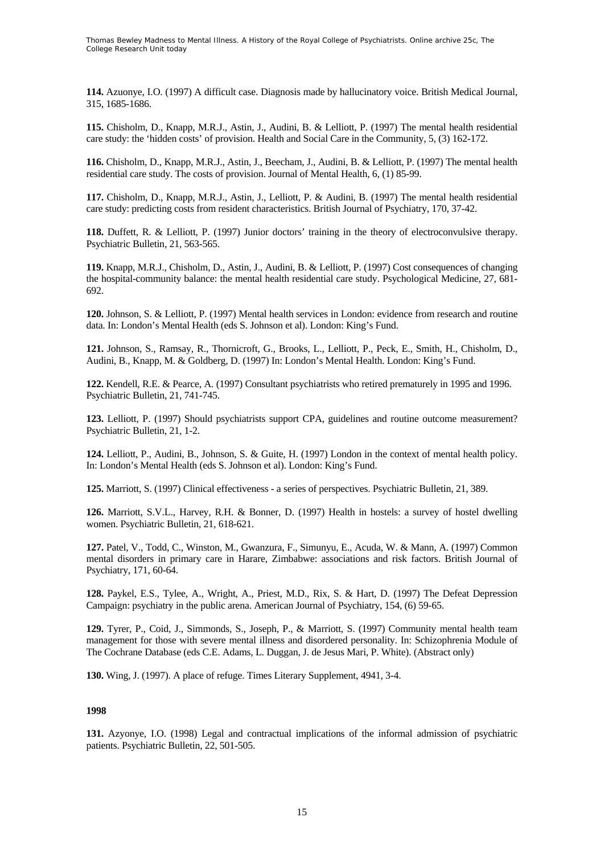**114.** Azuonye, I.O. (1997) A difficult case. Diagnosis made by hallucinatory voice. British Medical Journal, 315, 1685-1686.

**115.** Chisholm, D., Knapp, M.R.J., Astin, J., Audini, B. & Lelliott, P. (1997) The mental health residential care study: the 'hidden costs' of provision. Health and Social Care in the Community, 5, (3) 162-172.

**116.** Chisholm, D., Knapp, M.R.J., Astin, J., Beecham, J., Audini, B. & Lelliott, P. (1997) The mental health residential care study. The costs of provision. Journal of Mental Health, 6, (1) 85-99.

**117.** Chisholm, D., Knapp, M.R.J., Astin, J., Lelliott, P. & Audini, B. (1997) The mental health residential care study: predicting costs from resident characteristics. British Journal of Psychiatry, 170, 37-42.

**118.** Duffett, R. & Lelliott, P. (1997) Junior doctors' training in the theory of electroconvulsive therapy. Psychiatric Bulletin, 21, 563-565.

**119.** Knapp, M.R.J., Chisholm, D., Astin, J., Audini, B. & Lelliott, P. (1997) Cost consequences of changing the hospital-community balance: the mental health residential care study. Psychological Medicine, 27, 681- 692.

**120.** Johnson, S. & Lelliott, P. (1997) Mental health services in London: evidence from research and routine data. In: London's Mental Health (eds S. Johnson et al). London: King's Fund.

**121.** Johnson, S., Ramsay, R., Thornicroft, G., Brooks, L., Lelliott, P., Peck, E., Smith, H., Chisholm, D., Audini, B., Knapp, M. & Goldberg, D. (1997) In: London's Mental Health. London: King's Fund.

**122.** Kendell, R.E. & Pearce, A. (1997) Consultant psychiatrists who retired prematurely in 1995 and 1996. Psychiatric Bulletin, 21, 741-745.

**123.** Lelliott, P. (1997) Should psychiatrists support CPA, guidelines and routine outcome measurement? Psychiatric Bulletin, 21, 1-2.

**124.** Lelliott, P., Audini, B., Johnson, S. & Guite, H. (1997) London in the context of mental health policy. In: London's Mental Health (eds S. Johnson et al). London: King's Fund.

**125.** Marriott, S. (1997) Clinical effectiveness - a series of perspectives. Psychiatric Bulletin, 21, 389.

**126.** Marriott, S.V.L., Harvey, R.H. & Bonner, D. (1997) Health in hostels: a survey of hostel dwelling women. Psychiatric Bulletin, 21, 618-621.

**127.** Patel, V., Todd, C., Winston, M., Gwanzura, F., Simunyu, E., Acuda, W. & Mann, A. (1997) Common mental disorders in primary care in Harare, Zimbabwe: associations and risk factors. British Journal of Psychiatry, 171, 60-64.

**128.** Paykel, E.S., Tylee, A., Wright, A., Priest, M.D., Rix, S. & Hart, D. (1997) The Defeat Depression Campaign: psychiatry in the public arena. American Journal of Psychiatry, 154, (6) 59-65.

**129.** Tyrer, P., Coid, J., Simmonds, S., Joseph, P., & Marriott, S. (1997) Community mental health team management for those with severe mental illness and disordered personality. In: Schizophrenia Module of The Cochrane Database (eds C.E. Adams, L. Duggan, J. de Jesus Mari, P. White). (Abstract only)

**130.** Wing, J. (1997). A place of refuge. Times Literary Supplement, 4941, 3-4.

#### **1998**

**131.** Azyonye, I.O. (1998) Legal and contractual implications of the informal admission of psychiatric patients. Psychiatric Bulletin, 22, 501-505.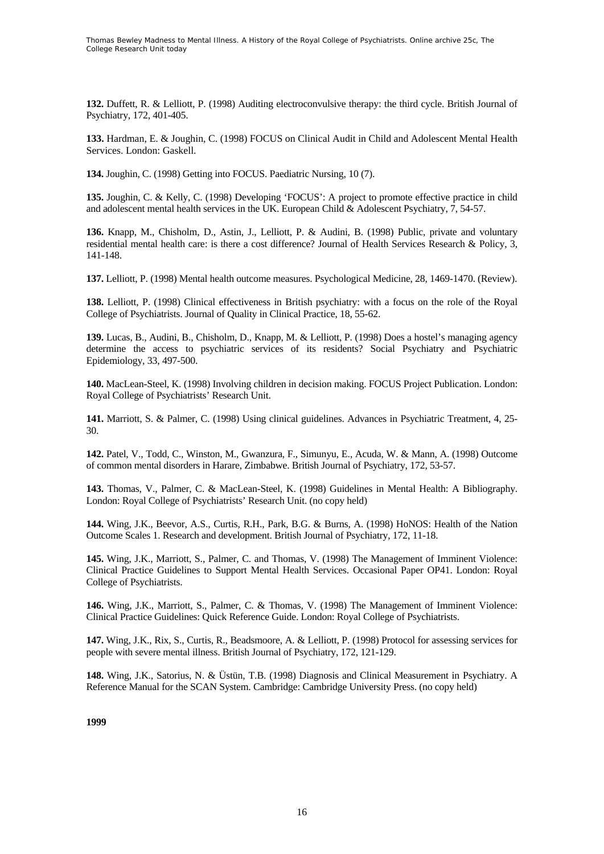**132.** Duffett, R. & Lelliott, P. (1998) Auditing electroconvulsive therapy: the third cycle. British Journal of Psychiatry, 172, 401-405.

**133.** Hardman, E. & Joughin, C. (1998) FOCUS on Clinical Audit in Child and Adolescent Mental Health Services. London: Gaskell.

**134.** Joughin, C. (1998) Getting into FOCUS. Paediatric Nursing, 10 (7).

**135.** Joughin, C. & Kelly, C. (1998) Developing 'FOCUS': A project to promote effective practice in child and adolescent mental health services in the UK. European Child & Adolescent Psychiatry, 7, 54-57.

**136.** Knapp, M., Chisholm, D., Astin, J., Lelliott, P. & Audini, B. (1998) Public, private and voluntary residential mental health care: is there a cost difference? Journal of Health Services Research & Policy, 3, 141-148.

**137.** Lelliott, P. (1998) Mental health outcome measures. Psychological Medicine, 28, 1469-1470. (Review).

**138.** Lelliott, P. (1998) Clinical effectiveness in British psychiatry: with a focus on the role of the Royal College of Psychiatrists. Journal of Quality in Clinical Practice, 18, 55-62.

**139.** Lucas, B., Audini, B., Chisholm, D., Knapp, M. & Lelliott, P. (1998) Does a hostel's managing agency determine the access to psychiatric services of its residents? Social Psychiatry and Psychiatric Epidemiology, 33, 497-500.

**140.** MacLean-Steel, K. (1998) Involving children in decision making. FOCUS Project Publication. London: Royal College of Psychiatrists' Research Unit.

**141.** Marriott, S. & Palmer, C. (1998) Using clinical guidelines. Advances in Psychiatric Treatment, 4, 25- 30.

**142.** Patel, V., Todd, C., Winston, M., Gwanzura, F., Simunyu, E., Acuda, W. & Mann, A. (1998) Outcome of common mental disorders in Harare, Zimbabwe. British Journal of Psychiatry, 172, 53-57.

**143.** Thomas, V., Palmer, C. & MacLean-Steel, K. (1998) Guidelines in Mental Health: A Bibliography. London: Royal College of Psychiatrists' Research Unit. (no copy held)

**144.** Wing, J.K., Beevor, A.S., Curtis, R.H., Park, B.G. & Burns, A. (1998) HoNOS: Health of the Nation Outcome Scales 1. Research and development. British Journal of Psychiatry, 172, 11-18.

**145.** Wing, J.K., Marriott, S., Palmer, C. and Thomas, V. (1998) The Management of Imminent Violence: Clinical Practice Guidelines to Support Mental Health Services. Occasional Paper OP41. London: Royal College of Psychiatrists.

**146.** Wing, J.K., Marriott, S., Palmer, C. & Thomas, V. (1998) The Management of Imminent Violence: Clinical Practice Guidelines: Quick Reference Guide. London: Royal College of Psychiatrists.

**147.** Wing, J.K., Rix, S., Curtis, R., Beadsmoore, A. & Lelliott, P. (1998) Protocol for assessing services for people with severe mental illness. British Journal of Psychiatry, 172, 121-129.

**148.** Wing, J.K., Satorius, N. & Üstün, T.B. (1998) Diagnosis and Clinical Measurement in Psychiatry. A Reference Manual for the SCAN System. Cambridge: Cambridge University Press. (no copy held)

**1999**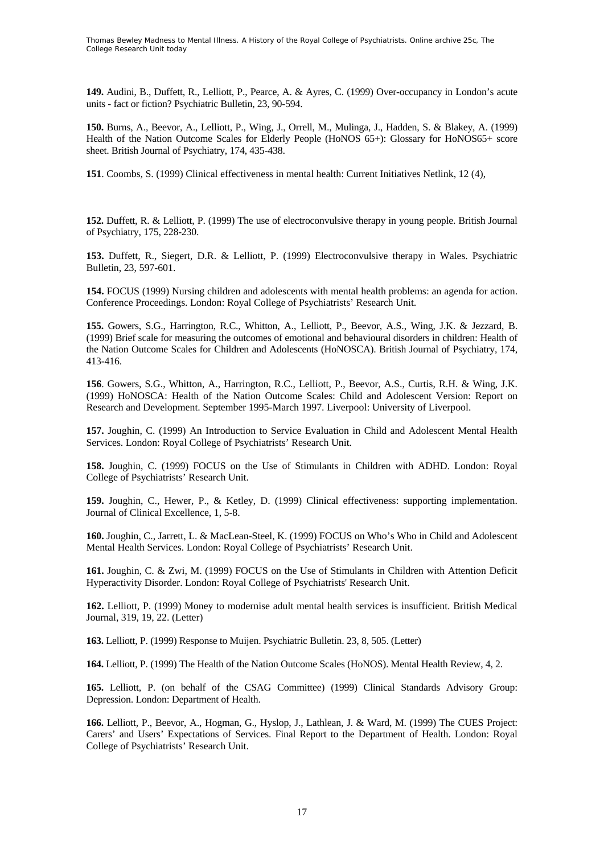**149.** Audini, B., Duffett, R., Lelliott, P., Pearce, A. & Ayres, C. (1999) Over-occupancy in London's acute units - fact or fiction? Psychiatric Bulletin, 23, 90-594.

**150.** Burns, A., Beevor, A., Lelliott, P., Wing, J., Orrell, M., Mulinga, J., Hadden, S. & Blakey, A. (1999) Health of the Nation Outcome Scales for Elderly People (HoNOS 65+): Glossary for HoNOS65+ score sheet. British Journal of Psychiatry, 174, 435-438.

**151**. Coombs, S. (1999) Clinical effectiveness in mental health: Current Initiatives Netlink, 12 (4),

**152.** Duffett, R. & Lelliott, P. (1999) The use of electroconvulsive therapy in young people. British Journal of Psychiatry, 175, 228-230.

**153.** Duffett, R., Siegert, D.R. & Lelliott, P. (1999) Electroconvulsive therapy in Wales. Psychiatric Bulletin, 23, 597-601.

**154.** FOCUS (1999) Nursing children and adolescents with mental health problems: an agenda for action. Conference Proceedings. London: Royal College of Psychiatrists' Research Unit.

**155.** Gowers, S.G., Harrington, R.C., Whitton, A., Lelliott, P., Beevor, A.S., Wing, J.K. & Jezzard, B. (1999) Brief scale for measuring the outcomes of emotional and behavioural disorders in children: Health of the Nation Outcome Scales for Children and Adolescents (HoNOSCA). British Journal of Psychiatry, 174, 413-416.

**156**. Gowers, S.G., Whitton, A., Harrington, R.C., Lelliott, P., Beevor, A.S., Curtis, R.H. & Wing, J.K. (1999) HoNOSCA: Health of the Nation Outcome Scales: Child and Adolescent Version: Report on Research and Development. September 1995-March 1997. Liverpool: University of Liverpool.

**157.** Joughin, C. (1999) An Introduction to Service Evaluation in Child and Adolescent Mental Health Services. London: Royal College of Psychiatrists' Research Unit.

**158.** Joughin, C. (1999) FOCUS on the Use of Stimulants in Children with ADHD. London: Royal College of Psychiatrists' Research Unit.

**159.** Joughin, C., Hewer, P., & Ketley, D. (1999) Clinical effectiveness: supporting implementation. Journal of Clinical Excellence, 1, 5-8.

**160.** Joughin, C., Jarrett, L. & MacLean-Steel, K. (1999) FOCUS on Who's Who in Child and Adolescent Mental Health Services. London: Royal College of Psychiatrists' Research Unit.

**161.** Joughin, C. & Zwi, M. (1999) FOCUS on the Use of Stimulants in Children with Attention Deficit Hyperactivity Disorder. London: Royal College of Psychiatrists' Research Unit.

**162.** Lelliott, P. (1999) Money to modernise adult mental health services is insufficient. British Medical Journal, 319, 19, 22. (Letter)

**163.** Lelliott, P. (1999) Response to Muijen. Psychiatric Bulletin. 23, 8, 505. (Letter)

**164.** Lelliott, P. (1999) The Health of the Nation Outcome Scales (HoNOS). Mental Health Review, 4, 2.

**165.** Lelliott, P. (on behalf of the CSAG Committee) (1999) Clinical Standards Advisory Group: Depression. London: Department of Health.

**166.** Lelliott, P., Beevor, A., Hogman, G., Hyslop, J., Lathlean, J. & Ward, M. (1999) The CUES Project: Carers' and Users' Expectations of Services. Final Report to the Department of Health. London: Royal College of Psychiatrists' Research Unit.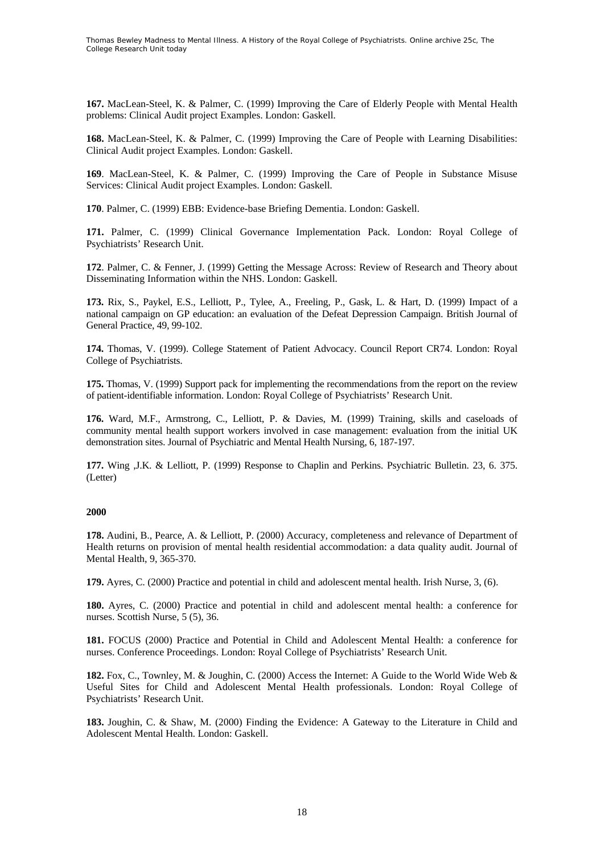**167.** MacLean-Steel, K. & Palmer, C. (1999) Improving the Care of Elderly People with Mental Health problems: Clinical Audit project Examples. London: Gaskell.

**168.** MacLean-Steel, K. & Palmer, C. (1999) Improving the Care of People with Learning Disabilities: Clinical Audit project Examples. London: Gaskell.

**169**. MacLean-Steel, K. & Palmer, C. (1999) Improving the Care of People in Substance Misuse Services: Clinical Audit project Examples. London: Gaskell.

**170**. Palmer, C. (1999) EBB: Evidence-base Briefing Dementia. London: Gaskell.

**171.** Palmer, C. (1999) Clinical Governance Implementation Pack. London: Royal College of Psychiatrists' Research Unit.

**172**. Palmer, C. & Fenner, J. (1999) Getting the Message Across: Review of Research and Theory about Disseminating Information within the NHS. London: Gaskell.

**173.** Rix, S., Paykel, E.S., Lelliott, P., Tylee, A., Freeling, P., Gask, L. & Hart, D. (1999) Impact of a national campaign on GP education: an evaluation of the Defeat Depression Campaign. British Journal of General Practice, 49, 99-102.

**174.** Thomas, V. (1999). College Statement of Patient Advocacy. Council Report CR74. London: Royal College of Psychiatrists.

**175.** Thomas, V. (1999) Support pack for implementing the recommendations from the report on the review of patient-identifiable information. London: Royal College of Psychiatrists' Research Unit.

**176.** Ward, M.F., Armstrong, C., Lelliott, P. & Davies, M. (1999) Training, skills and caseloads of community mental health support workers involved in case management: evaluation from the initial UK demonstration sites. Journal of Psychiatric and Mental Health Nursing, 6, 187-197.

**177.** Wing ,J.K. & Lelliott, P. (1999) Response to Chaplin and Perkins. Psychiatric Bulletin. 23, 6. 375. (Letter)

## **2000**

**178.** Audini, B., Pearce, A. & Lelliott, P. (2000) Accuracy, completeness and relevance of Department of Health returns on provision of mental health residential accommodation: a data quality audit. Journal of Mental Health, 9, 365-370.

**179.** Ayres, C. (2000) Practice and potential in child and adolescent mental health. Irish Nurse, 3, (6).

**180.** Ayres, C. (2000) Practice and potential in child and adolescent mental health: a conference for nurses. Scottish Nurse, 5 (5), 36.

**181.** FOCUS (2000) Practice and Potential in Child and Adolescent Mental Health: a conference for nurses. Conference Proceedings. London: Royal College of Psychiatrists' Research Unit.

**182.** Fox, C., Townley, M. & Joughin, C. (2000) Access the Internet: A Guide to the World Wide Web & Useful Sites for Child and Adolescent Mental Health professionals. London: Royal College of Psychiatrists' Research Unit.

**183.** Joughin, C. & Shaw, M. (2000) Finding the Evidence: A Gateway to the Literature in Child and Adolescent Mental Health. London: Gaskell.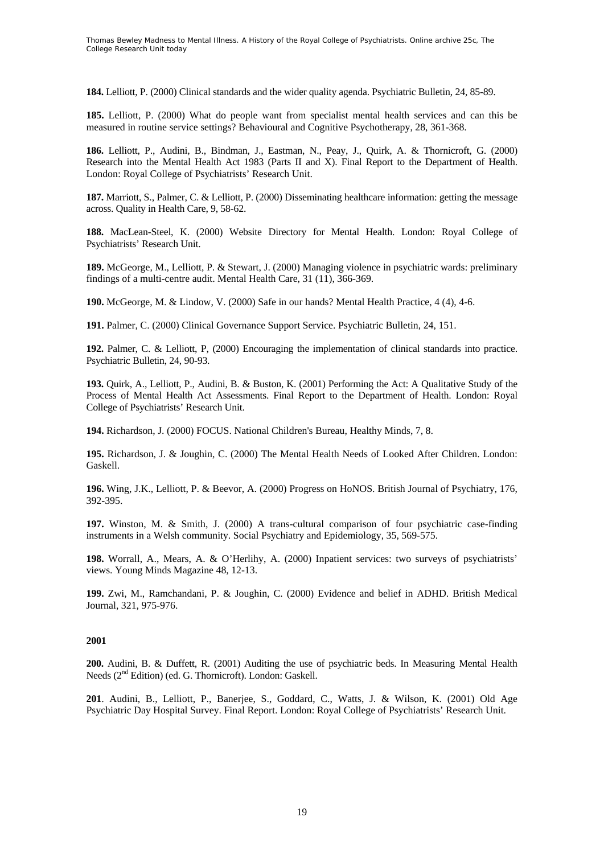**184.** Lelliott, P. (2000) Clinical standards and the wider quality agenda. Psychiatric Bulletin, 24, 85-89.

**185.** Lelliott, P. (2000) What do people want from specialist mental health services and can this be measured in routine service settings? Behavioural and Cognitive Psychotherapy, 28, 361-368.

**186.** Lelliott, P., Audini, B., Bindman, J., Eastman, N., Peay, J., Quirk, A. & Thornicroft, G. (2000) Research into the Mental Health Act 1983 (Parts II and X). Final Report to the Department of Health. London: Royal College of Psychiatrists' Research Unit.

**187.** Marriott, S., Palmer, C. & Lelliott, P. (2000) Disseminating healthcare information: getting the message across. Quality in Health Care, 9, 58-62.

**188.** MacLean-Steel, K. (2000) Website Directory for Mental Health. London: Royal College of Psychiatrists' Research Unit.

**189.** McGeorge, M., Lelliott, P. & Stewart, J. (2000) Managing violence in psychiatric wards: preliminary findings of a multi-centre audit. Mental Health Care, 31 (11), 366-369.

**190.** McGeorge, M. & Lindow, V. (2000) Safe in our hands? Mental Health Practice, 4 (4), 4-6.

**191.** Palmer, C. (2000) Clinical Governance Support Service. Psychiatric Bulletin, 24, 151.

**192.** Palmer, C. & Lelliott, P, (2000) Encouraging the implementation of clinical standards into practice. Psychiatric Bulletin, 24, 90-93.

**193.** Quirk, A., Lelliott, P., Audini, B. & Buston, K. (2001) Performing the Act: A Qualitative Study of the Process of Mental Health Act Assessments. Final Report to the Department of Health. London: Royal College of Psychiatrists' Research Unit.

**194.** Richardson, J. (2000) FOCUS. National Children's Bureau, Healthy Minds, 7, 8.

**195.** Richardson, J. & Joughin, C. (2000) The Mental Health Needs of Looked After Children. London: Gaskell.

**196.** Wing, J.K., Lelliott, P. & Beevor, A. (2000) Progress on HoNOS. British Journal of Psychiatry, 176, 392-395.

**197.** Winston, M. & Smith, J. (2000) A trans-cultural comparison of four psychiatric case-finding instruments in a Welsh community. Social Psychiatry and Epidemiology, 35, 569-575.

**198.** Worrall, A., Mears, A. & O'Herlihy, A. (2000) Inpatient services: two surveys of psychiatrists' views. Young Minds Magazine 48, 12-13.

**199.** Zwi, M., Ramchandani, P. & Joughin, C. (2000) Evidence and belief in ADHD. British Medical Journal, 321, 975-976.

## **2001**

**200.** Audini, B. & Duffett, R. (2001) Auditing the use of psychiatric beds. In Measuring Mental Health Needs (2<sup>nd</sup> Edition) (ed. G. Thornicroft). London: Gaskell.

**201**. Audini, B., Lelliott, P., Banerjee, S., Goddard, C., Watts, J. & Wilson, K. (2001) Old Age Psychiatric Day Hospital Survey. Final Report. London: Royal College of Psychiatrists' Research Unit.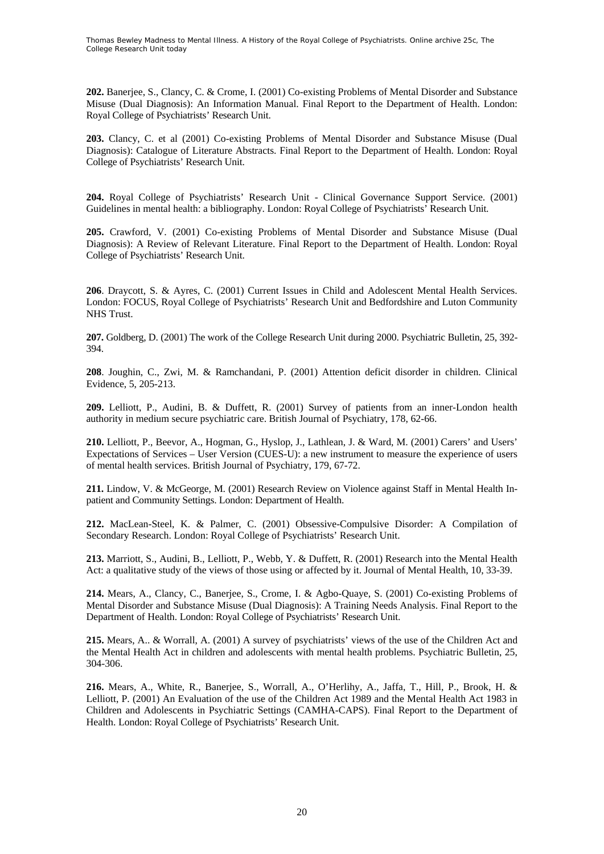**202.** Banerjee, S., Clancy, C. & Crome, I. (2001) Co-existing Problems of Mental Disorder and Substance Misuse (Dual Diagnosis): An Information Manual. Final Report to the Department of Health. London: Royal College of Psychiatrists' Research Unit.

**203.** Clancy, C. et al (2001) Co-existing Problems of Mental Disorder and Substance Misuse (Dual Diagnosis): Catalogue of Literature Abstracts. Final Report to the Department of Health. London: Royal College of Psychiatrists' Research Unit.

**204.** Royal College of Psychiatrists' Research Unit - Clinical Governance Support Service. (2001) Guidelines in mental health: a bibliography. London: Royal College of Psychiatrists' Research Unit.

**205.** Crawford, V. (2001) Co-existing Problems of Mental Disorder and Substance Misuse (Dual Diagnosis): A Review of Relevant Literature. Final Report to the Department of Health. London: Royal College of Psychiatrists' Research Unit.

**206**. Draycott, S. & Ayres, C. (2001) Current Issues in Child and Adolescent Mental Health Services. London: FOCUS, Royal College of Psychiatrists' Research Unit and Bedfordshire and Luton Community NHS Trust.

**207.** Goldberg, D. (2001) The work of the College Research Unit during 2000. Psychiatric Bulletin, 25, 392- 394.

**208**. Joughin, C., Zwi, M. & Ramchandani, P. (2001) Attention deficit disorder in children. Clinical Evidence, 5, 205-213.

**209.** Lelliott, P., Audini, B. & Duffett, R. (2001) Survey of patients from an inner-London health authority in medium secure psychiatric care. British Journal of Psychiatry, 178, 62-66.

**210.** Lelliott, P., Beevor, A., Hogman, G., Hyslop, J., Lathlean, J. & Ward, M. (2001) Carers' and Users' Expectations of Services – User Version (CUES-U): a new instrument to measure the experience of users of mental health services. British Journal of Psychiatry, 179, 67-72.

**211.** Lindow, V. & McGeorge, M. (2001) Research Review on Violence against Staff in Mental Health Inpatient and Community Settings. London: Department of Health.

**212.** MacLean-Steel, K. & Palmer, C. (2001) Obsessive-Compulsive Disorder: A Compilation of Secondary Research. London: Royal College of Psychiatrists' Research Unit.

**213.** Marriott, S., Audini, B., Lelliott, P., Webb, Y. & Duffett, R. (2001) Research into the Mental Health Act: a qualitative study of the views of those using or affected by it. Journal of Mental Health, 10, 33-39.

**214.** Mears, A., Clancy, C., Banerjee, S., Crome, I. & Agbo-Quaye, S. (2001) Co-existing Problems of Mental Disorder and Substance Misuse (Dual Diagnosis): A Training Needs Analysis. Final Report to the Department of Health. London: Royal College of Psychiatrists' Research Unit.

215. Mears, A.. & Worrall, A. (2001) A survey of psychiatrists' views of the use of the Children Act and the Mental Health Act in children and adolescents with mental health problems. Psychiatric Bulletin, 25, 304-306.

**216.** Mears, A., White, R., Banerjee, S., Worrall, A., O'Herlihy, A., Jaffa, T., Hill, P., Brook, H. & Lelliott, P. (2001) An Evaluation of the use of the Children Act 1989 and the Mental Health Act 1983 in Children and Adolescents in Psychiatric Settings (CAMHA-CAPS). Final Report to the Department of Health. London: Royal College of Psychiatrists' Research Unit.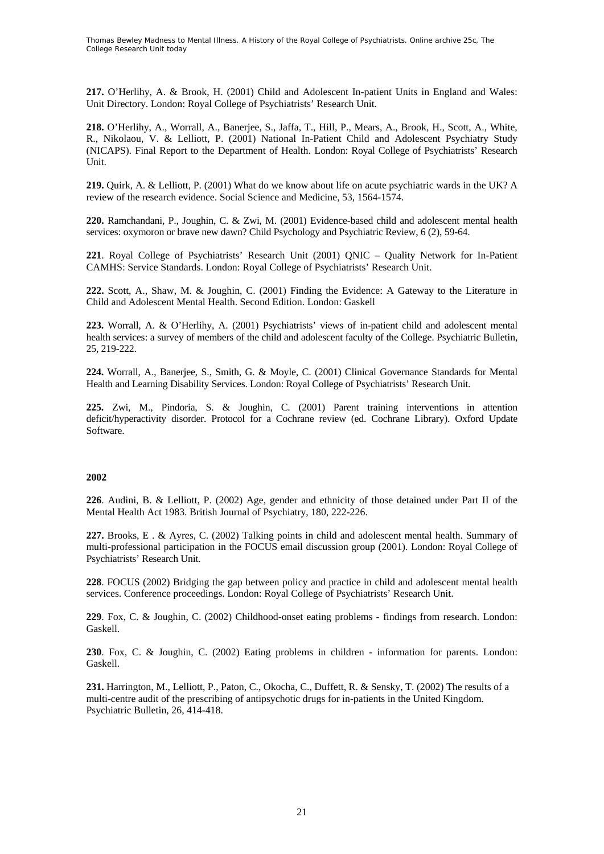**217.** O'Herlihy, A. & Brook, H. (2001) Child and Adolescent In-patient Units in England and Wales: Unit Directory. London: Royal College of Psychiatrists' Research Unit.

**218.** O'Herlihy, A., Worrall, A., Banerjee, S., Jaffa, T., Hill, P., Mears, A., Brook, H., Scott, A., White, R., Nikolaou, V. & Lelliott, P. (2001) National In-Patient Child and Adolescent Psychiatry Study (NICAPS). Final Report to the Department of Health. London: Royal College of Psychiatrists' Research Unit.

**219.** Quirk, A. & Lelliott, P. (2001) What do we know about life on acute psychiatric wards in the UK? A review of the research evidence. Social Science and Medicine, 53, 1564-1574.

**220.** Ramchandani, P., Joughin, C. & Zwi, M. (2001) Evidence-based child and adolescent mental health services: oxymoron or brave new dawn? Child Psychology and Psychiatric Review, 6 (2), 59-64.

**221**. Royal College of Psychiatrists' Research Unit (2001) QNIC – Quality Network for In-Patient CAMHS: Service Standards. London: Royal College of Psychiatrists' Research Unit.

**222.** Scott, A., Shaw, M. & Joughin, C. (2001) Finding the Evidence: A Gateway to the Literature in Child and Adolescent Mental Health. Second Edition. London: Gaskell

**223.** Worrall, A. & O'Herlihy, A. (2001) Psychiatrists' views of in-patient child and adolescent mental health services: a survey of members of the child and adolescent faculty of the College. Psychiatric Bulletin, 25, 219-222.

**224.** Worrall, A., Banerjee, S., Smith, G. & Moyle, C. (2001) Clinical Governance Standards for Mental Health and Learning Disability Services. London: Royal College of Psychiatrists' Research Unit.

**225.** Zwi, M., Pindoria, S. & Joughin, C. (2001) Parent training interventions in attention deficit/hyperactivity disorder. Protocol for a Cochrane review (ed. Cochrane Library). Oxford Update Software.

#### **2002**

**226**. Audini, B. & Lelliott, P. (2002) Age, gender and ethnicity of those detained under Part II of the Mental Health Act 1983. British Journal of Psychiatry, 180, 222-226.

**227.** Brooks, E . & Ayres, C. (2002) Talking points in child and adolescent mental health. Summary of multi-professional participation in the FOCUS email discussion group (2001). London: Royal College of Psychiatrists' Research Unit.

**228**. FOCUS (2002) Bridging the gap between policy and practice in child and adolescent mental health services. Conference proceedings. London: Royal College of Psychiatrists' Research Unit.

**229**. Fox, C. & Joughin, C. (2002) Childhood-onset eating problems - findings from research. London: Gaskell.

**230**. Fox, C. & Joughin, C. (2002) Eating problems in children - information for parents. London: Gaskell.

**231.** Harrington, M., Lelliott, P., Paton, C., Okocha, C., Duffett, R. & Sensky, T. (2002) The results of a multi-centre audit of the prescribing of antipsychotic drugs for in-patients in the United Kingdom. Psychiatric Bulletin, 26, 414-418.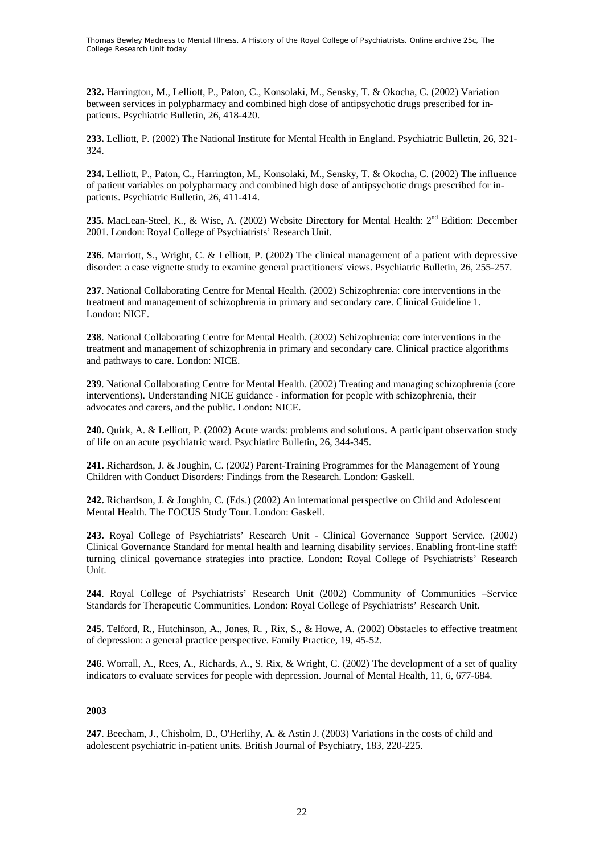**232.** Harrington, M., Lelliott, P., Paton, C., Konsolaki, M., Sensky, T. & Okocha, C. (2002) Variation between services in polypharmacy and combined high dose of antipsychotic drugs prescribed for inpatients. Psychiatric Bulletin, 26, 418-420.

**233.** Lelliott, P. (2002) The National Institute for Mental Health in England. Psychiatric Bulletin, 26, 321- 324.

**234.** Lelliott, P., Paton, C., Harrington, M., Konsolaki, M., Sensky, T. & Okocha, C. (2002) The influence of patient variables on polypharmacy and combined high dose of antipsychotic drugs prescribed for inpatients. Psychiatric Bulletin, 26, 411-414.

235. MacLean-Steel, K., & Wise, A. (2002) Website Directory for Mental Health: 2<sup>nd</sup> Edition: December 2001. London: Royal College of Psychiatrists' Research Unit.

**236**. Marriott, S., Wright, C. & Lelliott, P. (2002) The clinical management of a patient with depressive disorder: a case vignette study to examine general practitioners' views. Psychiatric Bulletin, 26, 255-257.

**237**. National Collaborating Centre for Mental Health. (2002) Schizophrenia: core interventions in the treatment and management of schizophrenia in primary and secondary care. Clinical Guideline 1. London: NICE.

**238**. National Collaborating Centre for Mental Health. (2002) Schizophrenia: core interventions in the treatment and management of schizophrenia in primary and secondary care. Clinical practice algorithms and pathways to care. London: NICE.

**239**. National Collaborating Centre for Mental Health. (2002) Treating and managing schizophrenia (core interventions). Understanding NICE guidance - information for people with schizophrenia, their advocates and carers, and the public. London: NICE.

**240.** Quirk, A. & Lelliott, P. (2002) Acute wards: problems and solutions. A participant observation study of life on an acute psychiatric ward. Psychiatirc Bulletin, 26, 344-345.

**241.** Richardson, J. & Joughin, C. (2002) Parent-Training Programmes for the Management of Young Children with Conduct Disorders: Findings from the Research. London: Gaskell.

**242.** Richardson, J. & Joughin, C. (Eds.) (2002) An international perspective on Child and Adolescent Mental Health. The FOCUS Study Tour. London: Gaskell.

**243.** Royal College of Psychiatrists' Research Unit - Clinical Governance Support Service. (2002) Clinical Governance Standard for mental health and learning disability services. Enabling front-line staff: turning clinical governance strategies into practice. London: Royal College of Psychiatrists' Research Unit.

**244**. Royal College of Psychiatrists' Research Unit (2002) Community of Communities –Service Standards for Therapeutic Communities. London: Royal College of Psychiatrists' Research Unit.

**245**. Telford, R., Hutchinson, A., Jones, R. , Rix, S., & Howe, A. (2002) Obstacles to effective treatment of depression: a general practice perspective. Family Practice, 19, 45-52.

**246**. Worrall, A., Rees, A., Richards, A., S. Rix, & Wright, C. (2002) The development of a set of quality indicators to evaluate services for people with depression. Journal of Mental Health, 11, 6, 677-684.

## **2003**

**247**. Beecham, J., Chisholm, D., O'Herlihy, A. & Astin J. (2003) Variations in the costs of child and adolescent psychiatric in-patient units. British Journal of Psychiatry, 183, 220-225.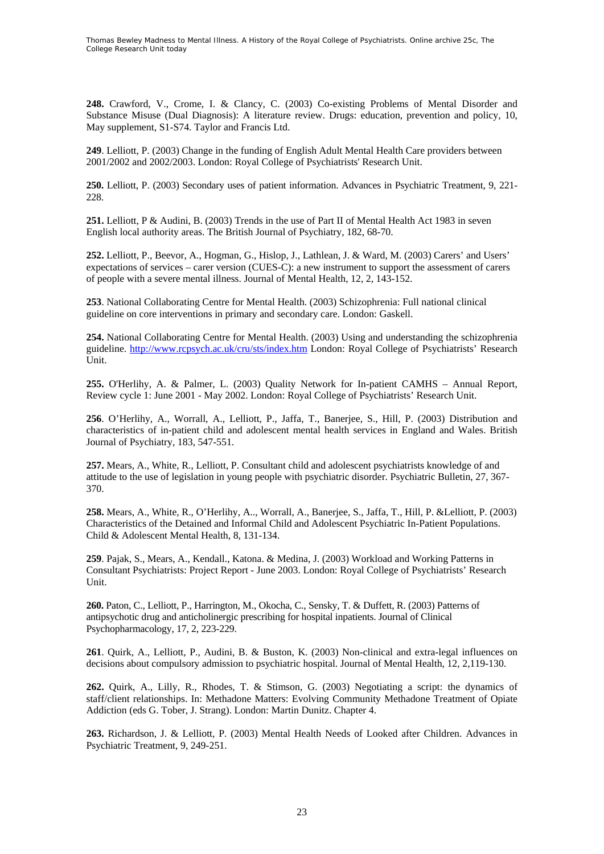**248.** Crawford, V., Crome, I. & Clancy, C. (2003) Co-existing Problems of Mental Disorder and Substance Misuse (Dual Diagnosis): A literature review. Drugs: education, prevention and policy, 10, May supplement, S1-S74. Taylor and Francis Ltd.

**249**. Lelliott, P. (2003) Change in the funding of English Adult Mental Health Care providers between 2001/2002 and 2002/2003. London: Royal College of Psychiatrists' Research Unit.

**250.** Lelliott, P. (2003) Secondary uses of patient information. Advances in Psychiatric Treatment, 9, 221- 228.

251. Lelliott, P & Audini, B. (2003) Trends in the use of Part II of Mental Health Act 1983 in seven English local authority areas. The British Journal of Psychiatry, 182, 68-70.

**252.** Lelliott, P., Beevor, A., Hogman, G., Hislop, J., Lathlean, J. & Ward, M. (2003) Carers' and Users' expectations of services – carer version (CUES-C): a new instrument to support the assessment of carers of people with a severe mental illness. Journal of Mental Health, 12, 2, 143-152.

**253**. National Collaborating Centre for Mental Health. (2003) Schizophrenia: Full national clinical guideline on core interventions in primary and secondary care. London: Gaskell.

**254.** National Collaborating Centre for Mental Health. (2003) Using and understanding the schizophrenia guideline. <http://www.rcpsych.ac.uk/cru/sts/index.htm> London: Royal College of Psychiatrists' Research Unit.

**255.** O'Herlihy, A. & Palmer, L. (2003) Quality Network for In-patient CAMHS – Annual Report, Review cycle 1: June 2001 - May 2002. London: Royal College of Psychiatrists' Research Unit.

**256**. O'Herlihy, A., Worrall, A., Lelliott, P., Jaffa, T., Banerjee, S., Hill, P. (2003) Distribution and characteristics of in-patient child and adolescent mental health services in England and Wales. British Journal of Psychiatry, 183, 547-551.

**257.** Mears, A., White, R., Lelliott, P. Consultant child and adolescent psychiatrists knowledge of and attitude to the use of legislation in young people with psychiatric disorder. Psychiatric Bulletin, 27, 367- 370.

**258.** Mears, A., White, R., O'Herlihy, A.., Worrall, A., Banerjee, S., Jaffa, T., Hill, P. &Lelliott, P. (2003) Characteristics of the Detained and Informal Child and Adolescent Psychiatric In-Patient Populations. Child & Adolescent Mental Health, 8, 131-134.

**259**. Pajak, S., Mears, A., Kendall., Katona. & Medina, J. (2003) Workload and Working Patterns in Consultant Psychiatrists: Project Report - June 2003. London: Royal College of Psychiatrists' Research Unit.

**260.** Paton, C., Lelliott, P., Harrington, M., Okocha, C., Sensky, T. & Duffett, R. (2003) Patterns of antipsychotic drug and anticholinergic prescribing for hospital inpatients. Journal of Clinical Psychopharmacology, 17, 2, 223-229.

**261**. Quirk, A., Lelliott, P., Audini, B. & Buston, K. (2003) Non-clinical and extra-legal influences on decisions about compulsory admission to psychiatric hospital. Journal of Mental Health, 12, 2,119-130.

**262.** Quirk, A., Lilly, R., Rhodes, T. & Stimson, G. (2003) Negotiating a script: the dynamics of staff/client relationships. In: Methadone Matters: Evolving Community Methadone Treatment of Opiate Addiction (eds G. Tober, J. Strang). London: Martin Dunitz. Chapter 4.

**263.** Richardson, J. & Lelliott, P. (2003) Mental Health Needs of Looked after Children. Advances in Psychiatric Treatment, 9, 249-251.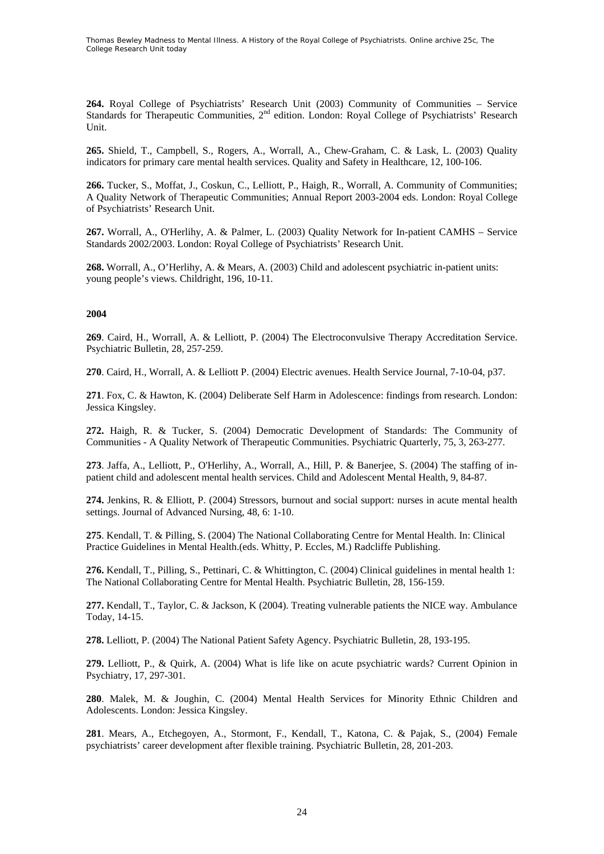**264.** Royal College of Psychiatrists' Research Unit (2003) Community of Communities – Service Standards for Therapeutic Communities, 2<sup>nd</sup> edition. London: Royal College of Psychiatrists' Research Unit.

**265.** Shield, T., Campbell, S., Rogers, A., Worrall, A., Chew-Graham, C. & Lask, L. (2003) Quality indicators for primary care mental health services. Quality and Safety in Healthcare, 12, 100-106.

**266.** Tucker, S., Moffat, J., Coskun, C., Lelliott, P., Haigh, R., Worrall, A. Community of Communities; A Quality Network of Therapeutic Communities; Annual Report 2003-2004 eds. London: Royal College of Psychiatrists' Research Unit.

**267.** Worrall, A., O'Herlihy, A. & Palmer, L. (2003) Quality Network for In-patient CAMHS – Service Standards 2002/2003. London: Royal College of Psychiatrists' Research Unit.

**268.** Worrall, A., O'Herlihy, A. & Mears, A. (2003) Child and adolescent psychiatric in-patient units: young people's views. Childright, 196, 10-11.

### **2004**

**269**. Caird, H., Worrall, A. & Lelliott, P. (2004) The Electroconvulsive Therapy Accreditation Service. Psychiatric Bulletin, 28, 257-259.

**270**. Caird, H., Worrall, A. & Lelliott P. (2004) Electric avenues. Health Service Journal, 7-10-04, p37.

**271**. Fox, C. & Hawton, K. (2004) Deliberate Self Harm in Adolescence: findings from research. London: Jessica Kingsley.

**272.** Haigh, R. & Tucker, S. (2004) Democratic Development of Standards: The Community of Communities - A Quality Network of Therapeutic Communities. Psychiatric Quarterly, 75, 3, 263-277.

**273**. Jaffa, A., Lelliott, P., O'Herlihy, A., Worrall, A., Hill, P. & Banerjee, S. (2004) The staffing of inpatient child and adolescent mental health services. Child and Adolescent Mental Health, 9, 84-87.

**274.** Jenkins, R. & Elliott, P. (2004) Stressors, burnout and social support: nurses in acute mental health settings. Journal of Advanced Nursing, 48, 6: 1-10.

**275**. Kendall, T. & Pilling, S. (2004) The National Collaborating Centre for Mental Health. In: Clinical Practice Guidelines in Mental Health.(eds. Whitty, P. Eccles, M.) Radcliffe Publishing.

**276.** Kendall, T., Pilling, S., Pettinari, C. & Whittington, C. (2004) Clinical guidelines in mental health 1: The National Collaborating Centre for Mental Health. Psychiatric Bulletin, 28, 156-159.

**277.** Kendall, T., Taylor, C. & Jackson, K (2004). Treating vulnerable patients the NICE way. Ambulance Today, 14-15.

**278.** Lelliott, P. (2004) The National Patient Safety Agency. Psychiatric Bulletin, 28, 193-195.

**279.** Lelliott, P., & Quirk, A. (2004) What is life like on acute psychiatric wards? Current Opinion in Psychiatry, 17, 297-301.

**280**. Malek, M. & Joughin, C. (2004) Mental Health Services for Minority Ethnic Children and Adolescents. London: Jessica Kingsley.

**281**. Mears, A., Etchegoyen, A., Stormont, F., Kendall, T., Katona, C. & Pajak, S., (2004) Female psychiatrists' career development after flexible training. Psychiatric Bulletin, 28, 201-203.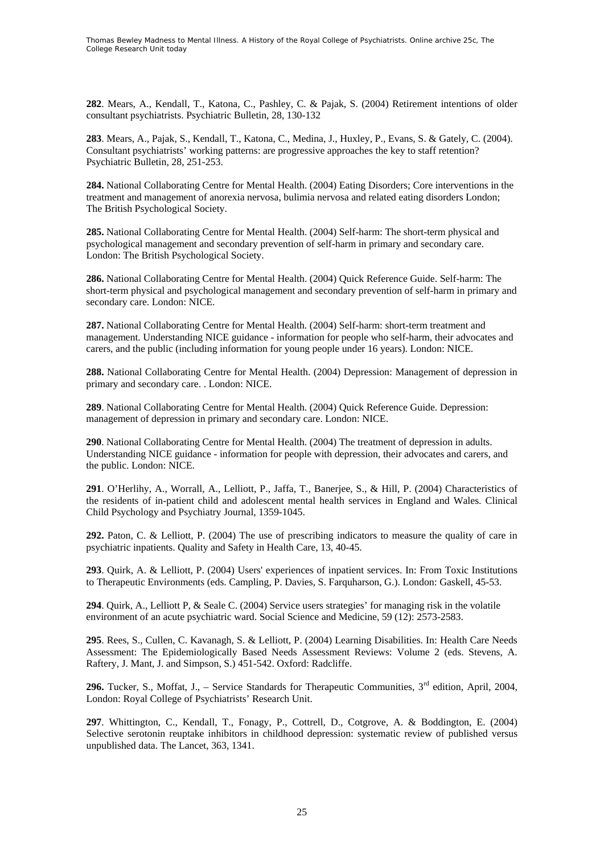**282**. Mears, A., Kendall, T., Katona, C., Pashley, C. & Pajak, S. (2004) Retirement intentions of older consultant psychiatrists. Psychiatric Bulletin, 28, 130-132

**283**. Mears, A., Pajak, S., Kendall, T., Katona, C., Medina, J., Huxley, P., Evans, S. & Gately, C. (2004). Consultant psychiatrists' working patterns: are progressive approaches the key to staff retention? Psychiatric Bulletin, 28, 251-253.

**284.** National Collaborating Centre for Mental Health. (2004) Eating Disorders; Core interventions in the treatment and management of anorexia nervosa, bulimia nervosa and related eating disorders London; The British Psychological Society.

**285.** National Collaborating Centre for Mental Health. (2004) Self-harm: The short-term physical and psychological management and secondary prevention of self-harm in primary and secondary care. London: The British Psychological Society.

**286.** National Collaborating Centre for Mental Health. (2004) Quick Reference Guide. Self-harm: The short-term physical and psychological management and secondary prevention of self-harm in primary and secondary care. London: NICE.

**287.** National Collaborating Centre for Mental Health. (2004) Self-harm: short-term treatment and management. Understanding NICE guidance - information for people who self-harm, their advocates and carers, and the public (including information for young people under 16 years). London: NICE.

**288.** National Collaborating Centre for Mental Health. (2004) Depression: Management of depression in primary and secondary care. . London: NICE.

**289**. National Collaborating Centre for Mental Health. (2004) Quick Reference Guide. Depression: management of depression in primary and secondary care. London: NICE.

**290**. National Collaborating Centre for Mental Health. (2004) The treatment of depression in adults. Understanding NICE guidance - information for people with depression, their advocates and carers, and the public. London: NICE.

**291**. O'Herlihy, A., Worrall, A., Lelliott, P., Jaffa, T., Banerjee, S., & Hill, P. (2004) Characteristics of the residents of in-patient child and adolescent mental health services in England and Wales. Clinical Child Psychology and Psychiatry Journal, 1359-1045.

**292.** Paton, C. & Lelliott, P. (2004) The use of prescribing indicators to measure the quality of care in psychiatric inpatients. Quality and Safety in Health Care, 13, 40-45.

**293**. Quirk, A. & Lelliott, P. (2004) Users' experiences of inpatient services. In: From Toxic Institutions to Therapeutic Environments (eds. Campling, P. Davies, S. Farquharson, G.). London: Gaskell, 45-53.

**294**. Quirk, A., Lelliott P, & Seale C. (2004) Service users strategies' for managing risk in the volatile environment of an acute psychiatric ward. Social Science and Medicine, 59 (12): 2573-2583.

**295**. Rees, S., Cullen, C. Kavanagh, S. & Lelliott, P. (2004) Learning Disabilities. In: Health Care Needs Assessment: The Epidemiologically Based Needs Assessment Reviews: Volume 2 (eds. Stevens, A. Raftery, J. Mant, J. and Simpson, S.) 451-542. Oxford: Radcliffe.

296. Tucker, S., Moffat, J., - Service Standards for Therapeutic Communities, 3<sup>rd</sup> edition, April, 2004. London: Royal College of Psychiatrists' Research Unit.

**297**. Whittington, C., Kendall, T., Fonagy, P., Cottrell, D., Cotgrove, A. & Boddington, E. (2004) Selective serotonin reuptake inhibitors in childhood depression: systematic review of published versus unpublished data. The Lancet, 363, 1341.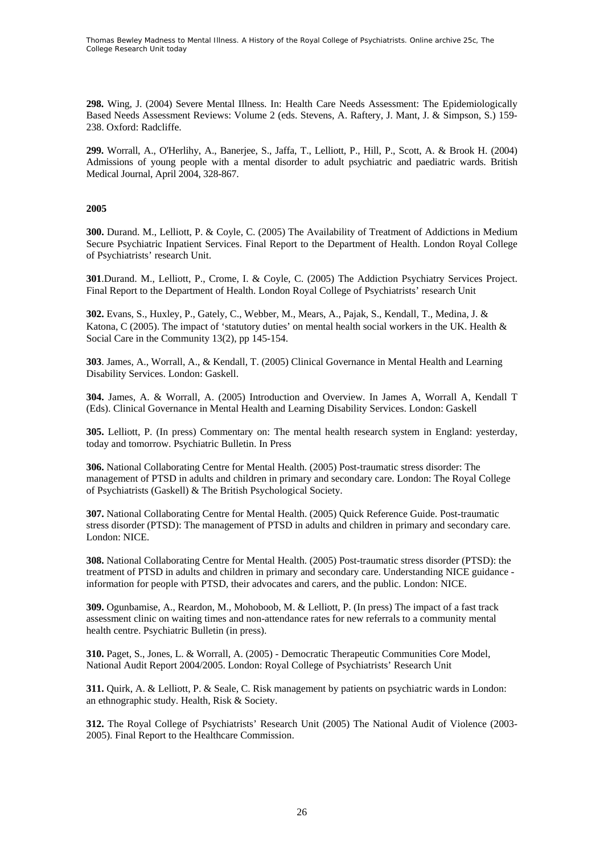**298.** Wing, J. (2004) Severe Mental Illness. In: Health Care Needs Assessment: The Epidemiologically Based Needs Assessment Reviews: Volume 2 (eds. Stevens, A. Raftery, J. Mant, J. & Simpson, S.) 159- 238. Oxford: Radcliffe.

**299.** Worrall, A., O'Herlihy, A., Banerjee, S., Jaffa, T., Lelliott, P., Hill, P., Scott, A. & Brook H. (2004) Admissions of young people with a mental disorder to adult psychiatric and paediatric wards. British Medical Journal, April 2004, 328-867.

### **2005**

**300.** Durand. M., Lelliott, P. & Coyle, C. (2005) The Availability of Treatment of Addictions in Medium Secure Psychiatric Inpatient Services. Final Report to the Department of Health. London Royal College of Psychiatrists' research Unit.

**301**.Durand. M., Lelliott, P., Crome, I. & Coyle, C. (2005) The Addiction Psychiatry Services Project. Final Report to the Department of Health. London Royal College of Psychiatrists' research Unit

**302.** Evans, S., Huxley, P., Gately, C., Webber, M., Mears, A., Pajak, S., Kendall, T., Medina, J. & Katona, C (2005). The impact of 'statutory duties' on mental health social workers in the UK. Health & Social Care in the Community 13(2), pp 145-154.

**303**. James, A., Worrall, A., & Kendall, T. (2005) Clinical Governance in Mental Health and Learning Disability Services. London: Gaskell.

**304.** James, A. & Worrall, A. (2005) Introduction and Overview. In James A, Worrall A, Kendall T (Eds). Clinical Governance in Mental Health and Learning Disability Services. London: Gaskell

**305.** Lelliott, P. (In press) Commentary on: The mental health research system in England: yesterday, today and tomorrow. Psychiatric Bulletin. In Press

**306.** National Collaborating Centre for Mental Health. (2005) Post-traumatic stress disorder: The management of PTSD in adults and children in primary and secondary care. London: The Royal College of Psychiatrists (Gaskell) & The British Psychological Society.

**307.** National Collaborating Centre for Mental Health. (2005) Quick Reference Guide. Post-traumatic stress disorder (PTSD): The management of PTSD in adults and children in primary and secondary care. London: NICE.

**308.** National Collaborating Centre for Mental Health. (2005) Post-traumatic stress disorder (PTSD): the treatment of PTSD in adults and children in primary and secondary care. Understanding NICE guidance information for people with PTSD, their advocates and carers, and the public. London: NICE.

**309.** Ogunbamise, A., Reardon, M., Mohoboob, M. & Lelliott, P. (In press) The impact of a fast track assessment clinic on waiting times and non-attendance rates for new referrals to a community mental health centre. Psychiatric Bulletin (in press).

**310.** Paget, S., Jones, L. & Worrall, A. (2005) - Democratic Therapeutic Communities Core Model, National Audit Report 2004/2005. London: Royal College of Psychiatrists' Research Unit

**311.** Quirk, A. & Lelliott, P. & Seale, C. Risk management by patients on psychiatric wards in London: an ethnographic study. Health, Risk & Society.

**312.** The Royal College of Psychiatrists' Research Unit (2005) The National Audit of Violence (2003- 2005). Final Report to the Healthcare Commission.